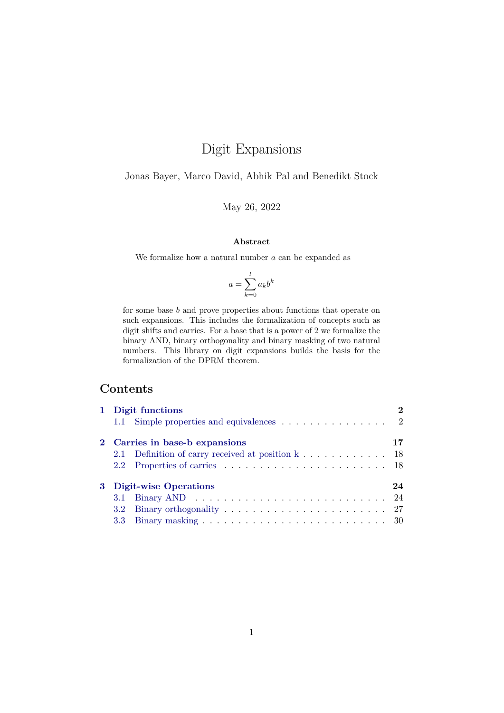# Digit Expansions

Jonas Bayer, Marco David, Abhik Pal and Benedikt Stock

May 26, 2022

#### **Abstract**

We formalize how a natural number  $a$  can be expanded as

$$
a = \sum_{k=0}^{l} a_k b^k
$$

for some base b and prove properties about functions that operate on such expansions. This includes the formalization of concepts such as digit shifts and carries. For a base that is a power of 2 we formalize the binary AND, binary orthogonality and binary masking of two natural numbers. This library on digit expansions builds the basis for the formalization of the DPRM theorem.

# **Contents**

|                | 1 Digit functions                                 |    |
|----------------|---------------------------------------------------|----|
|                | 1.1 Simple properties and equivalences 2          |    |
|                | 2 Carries in base-b expansions                    | 17 |
|                | 2.1 Definition of carry received at position k 18 |    |
|                |                                                   |    |
| 3 <sup>1</sup> | <b>Digit-wise Operations</b>                      | 24 |
|                |                                                   |    |
|                |                                                   |    |
|                |                                                   |    |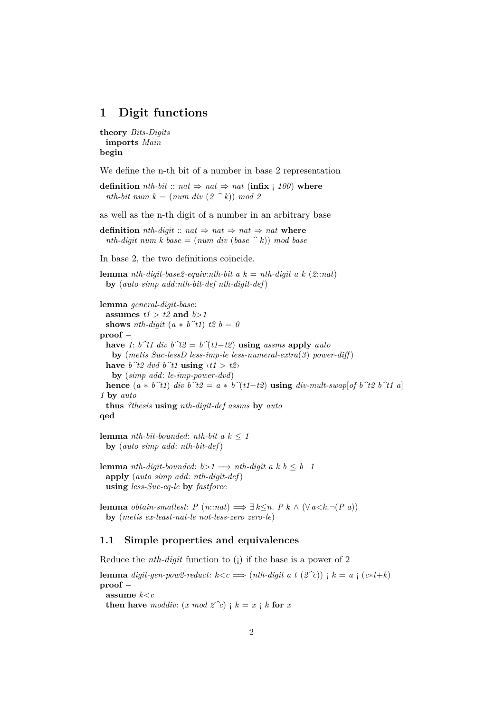# <span id="page-1-0"></span>**1 Digit functions**

```
theory Bits-Digits
 imports Main
begin
```
We define the n-th bit of a number in base 2 representation

**definition** *nth-bit* :: *nat*  $\Rightarrow$  *nat*  $\Rightarrow$  *nat* (**infix** ; 100) **where** *nth-bit num k* =  $(num \ div (2 \ ^k)) \ mod 2$ 

as well as the n-th digit of a number in an arbitrary base

**definition** *nth-digit* :: *nat*  $\Rightarrow$  *nat*  $\Rightarrow$  *nat*  $\Rightarrow$  *nat* **where** *nth-digit num k base* =  $(num \ div (base \ ^k))$  *mod base* 

In base 2, the two definitions coincide.

**lemma** *nth-digit-base2-equiv:nth-bit a k* = *nth-digit a k* (2:*:nat*) **by** (*auto simp add*:*nth-bit-def nth-digit-def*)

**lemma** *general-digit-base*: **assumes**  $t1 > t2$  **and**  $b>1$ **shows** *nth-digit*  $(a * b^t1)$  *t2*  $b = 0$ **proof** − **have** *1*: *b*<sup> $\hat{t}$ *t div b*<sup> $\hat{t}$ 2 = *b*<sup> $\hat{}$ </sup>(*t1*−*t2*) **using** *assms* **apply** *auto*</sup></sup> **by** (*metis Suc-lessD less-imp-le less-numeral-extra*(*3*) *power-diff* ) have  $b^t2$  dvd  $b^t1$  **using**  $\langle t1 \rangle$   $t2$ **by** (*simp add*: *le-imp-power-dvd*) **hence**  $(a * b^t t)$  *div b* $t^t = a * b^t (t^t - t^t)$  **using** *div-mult-swap*[*of b* $t^t = b^t t^t$  *a*] *1* **by** *auto* **thus** *?thesis* **using** *nth-digit-def assms* **by** *auto* **qed**

**lemma** *nth-bit-bounded*: *nth-bit a*  $k \leq 1$ **by** (*auto simp add*: *nth-bit-def*)

**lemma** *nth-digit-bounded*:  $b > 1 \implies nth\text{-}digit\ a\ k\ b \leq b-1$ **apply** (*auto simp add*: *nth-digit-def*) **using** *less-Suc-eq-le* **by** *fastforce*

**lemma** *obtain-smallest: P* (*n*::*nat*)  $\implies$  ∃  $k \leq n$ . *P*  $k \wedge (\forall a < k. \neg (P \ a))$ **by** (*metis ex-least-nat-le not-less-zero zero-le*)

## <span id="page-1-1"></span>**1.1 Simple properties and equivalences**

Reduce the *nth-digit* function to (¡) if the base is a power of 2

**lemma** *digit-gen-pow2-reduct:*  $k < c \implies (nth-digit \ a \ t \ (2^c c))$  ;  $k = a \ (c*t+k)$ **proof** − **assume** *k*<*c* **then have** *moddiv:*  $(x \mod 2^c c)$  **;**  $k = x$  **;**  $k$  **for**  $x$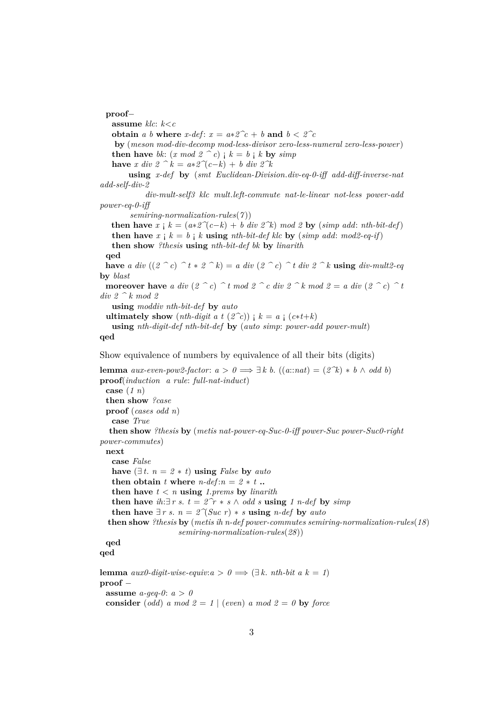**proof**− **assume** *klc*: *k*<*c* **obtain** *a b* **where** *x-def*:  $x = a * 2^c c + b$  **and**  $b < 2^c c$ **by** (*meson mod-div-decomp mod-less-divisor zero-less-numeral zero-less-power*) **then have** *bk*:  $(x \mod 2^{\infty} c)$  **;**  $k = b$  **;**  $k$  **by**  $simp$ **have** *x div*  $2 \hat{ }^k = a * 2^{\hat{ }^k} (c - k) + b$  *div*  $2^k$ **using** *x-def* **by** (*smt Euclidean-Division*.*div-eq-0-iff add-diff-inverse-nat add-self-div-2 div-mult-self3 klc mult*.*left-commute nat-le-linear not-less power-add power-eq-0-iff semiring-normalization-rules*(*7* )) **then have**  $x \nvert k = (a * 2^{\infty}(c-k) + b \text{ div } 2^k) \text{ mod } 2$  by (*simp add: nth-bit-def*) **then have**  $x \nvert k = b \nvert k$  **using**  $nth\text{-}bit\text{-}def$  klc **by** (*simp add: mod2-eq-if*) **then show** *?thesis* **using** *nth-bit-def bk* **by** *linarith* **qed have** *a div*  $((2 \tbinom{\frown}{c}) \tbinom{\frown}{t} x \tbinom{\frown}{c})$  *a div*  $(2 \tbinom{\frown}{c}) \tbinom{\frown}{t} d$  **iv**  $2 \tbinom{\frown}{k}$  **using** *div-mult2-eq* **by** *blast* **moreover have** *a div*  $(2 \rceil c) \rceil t \mod 2 \rceil c$  *div*  $2 \rceil k \mod 2 = a$  *div*  $(2 \rceil c) \rceil t$ *div 2 ^ k mod 2* **using** *moddiv nth-bit-def* **by** *auto* **ultimately show** (*nth-digit a t* ( $2^c$ *c*))  $k = a$  *i* ( $c$ \**t*+*k*) **using** *nth-digit-def nth-bit-def* **by** (*auto simp*: *power-add power-mult*) **qed** Show equivalence of numbers by equivalence of all their bits (digits) **lemma**  $aux\text{-}even\text{-}pow2\text{-}factor: a > 0 \implies \exists k \ b. ((a::\text{-}nat) = (2\text{-}k) * b \land odd b)$ **proof**(*induction a rule*: *full-nat-induct*) **case** (*1 n*) **then show** *?case* **proof** (*cases odd n*) **case** *True* **then show** *?thesis* **by** (*metis nat-power-eq-Suc-0-iff power-Suc power-Suc0-right power-commutes*) **next case** *False* **have**  $(∃ t. n = 2 * t)$  **using** *False* **by** *auto* **then obtain** *t* where  $n$ -def: $n = 2 * t$  **.. then have**  $t < n$  **using** 1.*prems* **by** *linarith* **then have** *ih*:∃ *r s*. *t* =  $2^r r * s \wedge old \textit{odd} s$  **using** 1 *n*-def by *simp* 

**then have** ∃ *r s*.  $n = 2 \gamma (Suc \ r) * s$  **using** *n-def* by *auto* 

**then show** *?thesis* **by** (*metis ih n-def power-commutes semiring-normalization-rules*(*18*) *semiring-normalization-rules*(*28*))

```
qed
qed
```
**lemma**  $aux0$ -digit-wise-equiv: $a > 0 \implies (\exists k. nth-bit a k = 1)$ **proof** − **assume**  $a$ -geq-0:  $a > 0$ **consider** (*odd*) *a* mod  $2 = 1$  | (*even*) *a* mod  $2 = 0$  **by** force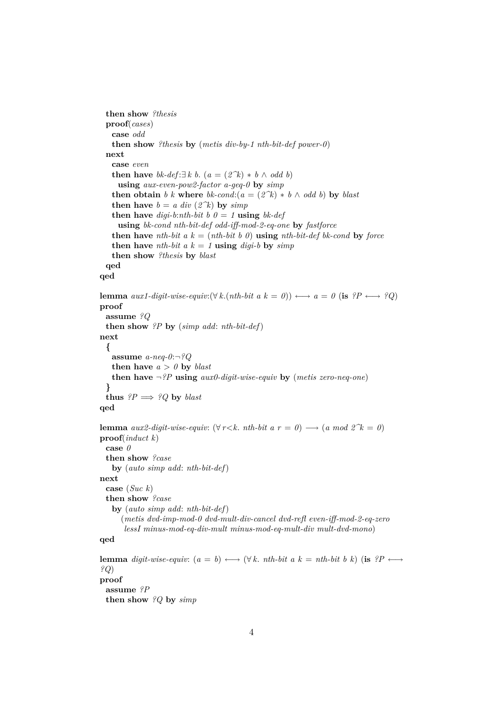```
then show ?thesis
 proof(cases)
   case odd
   then show ?thesis by (metis div-by-1 nth-bit-def power-0)
 next
   case even
   then have bk-def:\exists k \ b. (a = (2^k) * b \land \text{odd } b)using aux-even-pow2-factor a-geq-0 by simp
   then obtain b k where bk-cond:(a = (2^k) * b \wedge \text{odd } b) by blast
   then have b = a div (2\hat{ }k) by simp
   then have digi-b:nth-bit b 0 = 1 using bk-def
     using bk-cond nth-bit-def odd-iff-mod-2-eq-one by fastforce
   then have nth-bit a k = (nth-bit b 0) using nth-bit-def bk-cond by force
   then have nth-bit a k = 1 using digi-b by simp
   then show ?thesis by blast
 qed
qed
lemma aux1\text{-}digit\text{-}wise\text{-}equiv: (\forall k.(nth\text{-}bit \ a \ k = 0)) \longleftrightarrow a = 0 \ (\text{is} \ \ ?P \longleftrightarrow ?Q)proof
 assume ?Q
 then show ?P by (simp add: nth-bit-def)
next
  {
   assume a-neq-0:¬?Q
   then have a > 0 by blast
   then have ¬?P using aux0-digit-wise-equiv by (metis zero-neq-one)
  }
 thus ?P \implies ?Q by blast
qed
lemma aux2\text{-}digit\text{-}wise\text{-}equiv: (\forall r < k. nth\text{-}bit \ a \ r = 0) \longrightarrow (a \ mod \ 2^k = 0)proof(induct k)
 case 0
 then show ?case
   by (auto simp add: nth-bit-def)
next
  case (Suc k)
 then show ?case
   by (auto simp add: nth-bit-def)
      (metis dvd-imp-mod-0 dvd-mult-div-cancel dvd-refl even-iff-mod-2-eq-zero
       lessI minus-mod-eq-div-mult minus-mod-eq-mult-div mult-dvd-mono)
qed
lemma digit-wise-equiv: (a = b) \longleftrightarrow (\forall k \cdot nth\text{-}bit \ a \ k = nth\text{-}bit \ b \ k) (is ?P \longleftrightarrow?Q)
proof
 assume ?P
```

```
then show ?Q by simp
```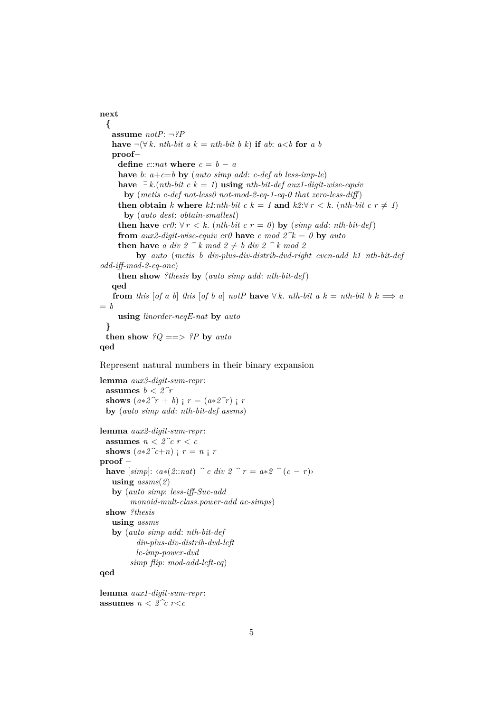**next { assume** *notP*: ¬*?P* **have**  $\neg(\forall k. nth-bit \ a \ k = nth-bit \ b \ k)$  **if**  $ab: a < b$  **for**  $a \ b$ **proof**− **define**  $c::nat$  **where**  $c = b - a$ **have** *b*:  $a+c=b$  **by** (*auto simp add*: *c-def ab less-imp-le*) **have**  $∃k.(nth-bit c k = 1)$  **using** *nth-bit-def aux1-digit-wise-equiv* **by** (*metis c-def not-less0 not-mod-2-eq-1-eq-0 that zero-less-diff* ) **then obtain** *k* where  $k1$ :*nth-bit*  $c k = 1$  **and**  $k2$ : $\forall r \leq k$ . (*nth-bit*  $c r \neq 1$ ) **by** (*auto dest*: *obtain-smallest*) **then have**  $cr0: \forall r < k$ . (*nth-bit c r = 0*) **by** (*simp add: nth-bit-def*) **from** *aux2-digit-wise-equiv cr0* **have** *c* mod  $2^k = 0$  **by** *auto* **then have** *a div*  $2 \hat{ }^k$  *k* mod  $2 \hat{ }^k$  *b div*  $2 \hat{ }^k$  *k* mod 2 **by** *auto* (*metis b div-plus-div-distrib-dvd-right even-add k1 nth-bit-def odd-iff-mod-2-eq-one*) **then show** *?thesis* **by** (*auto simp add*: *nth-bit-def*) **qed from** this  $\begin{bmatrix}$  *of a b* $\end{bmatrix}$  *this*  $\begin{bmatrix}$  *of b a* $\end{bmatrix}$  *notP* **have**  $\forall k$ . *nth-bit a*  $k = nth-bit$  *b*  $k \implies a$ = *b* **using** *linorder-neqE-nat* **by** *auto* **} then show**  $?Q ==> ?P$  **by** *auto* **qed**

Represent natural numbers in their binary expansion

```
lemma aux3-digit-sum-repr:
 assumes b < 2\hat{r}shows (a * 2^r r + b) ; r = (a * 2^r r) ; r
 by (auto simp add: nth-bit-def assms)
lemma aux2-digit-sum-repr:
 assumes n < 2^c c r < cshows (a \times 2^c t + n) ; r = n ; r
proof −
 have [simp]: ⋅a∗(2:rat) \hat{ } c div 2 \hat{ } \hat{ } r = a∗2 \hat{ } (c − r)
   using assms(2)
   by (auto simp: less-iff-Suc-add
        monoid-mult-class.power-add ac-simps)
 show ?thesis
   using assms
   by (auto simp add: nth-bit-def
          div-plus-div-distrib-dvd-left
          le-imp-power-dvd
        simp flip: mod-add-left-eq)
qed
```
**lemma** *aux1-digit-sum-repr*: **assumes**  $n < 2^c c$  *r*<*c*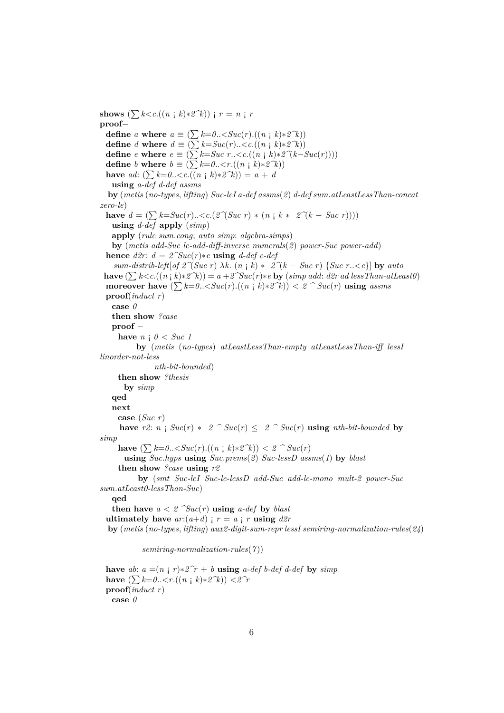**shows**  $(\sum k < c \cdot ((n \cdot k) * 2^k))$  ;  $r = n \cdot r$ **proof**− **define** *a* **where**  $a \equiv (\sum k=0..$ **define** *d* **where**  $d \equiv (\sum k = Suc(r) \ldots \langle c \cdot ((n \cdot k) * 2^{k} \rangle))$ **define**  $e$  **where**  $e \equiv (\sum k = Suc \ r \ldots \lt c \cdot ((n \neq k) * 2^{\sim}(k - Suc(r))))$ **define** *b* **where**  $b \equiv (\sum k=0..$ **have** *ad*:  $(\sum k=0..< c \cdot ((n \cdot k)*2^k)) = a + d$ **using** *a-def d-def assms* **by** (*metis* (*no-types*, *lifting*) *Suc-leI a-def assms*(*2*) *d-def sum*.*atLeastLessThan-concat zero-le*) **have**  $d = (\sum k = Suc(r) \ldots < c$ .(2 $\hat{\ }$ (*Suc r*) ∗ (*n* ;  $k \times 2(\hat{k} - Suc \, r))$ )) **using** *d-def* **apply** (*simp*) **apply** (*rule sum*.*cong*; *auto simp*: *algebra-simps*) **by** (*metis add-Suc le-add-diff-inverse numerals*(*2*) *power-Suc power-add*) **hence**  $d2r$ :  $d = 2\text{~}Suc(r)*e$  **using**  $d$ -def e-def *sum-distrib-left* $[of 2^{\infty}$ (*Suc r*)  $\lambda k$ .  $(n \in k) * 2^{\infty}$ ( $k - Suc$  *r*)  $\{Suc \ r\ldots < c\}$  by *auto* **have**  $(∑ k < c.((n | k) * 2^k)) = a + 2^suc(r)*e$  **by** (*simp add: d2r ad less Than-atLeast0*) **moreover have**  $(\sum k=0.. <  $2 \hat{ }$   $Suc(r)$  **using** *assms*$ **proof**(*induct r*) **case** *0* **then show** *?case* **proof** − **have**  $n \neq 0$  < *Suc 1* **by** (*metis* (*no-types*) *atLeastLessThan-empty atLeastLessThan-iff lessI linorder-not-less nth-bit-bounded*) **then show** *?thesis* **by** *simp* **qed next case** (*Suc r*) **have**  $r2$ :  $n \frac{1}{2}$   $Suc(r) * 2 \degree Suc(r) \leq 2 \degree Suc(r)$  **using**  $nth\text{-}bit\text{-}bounded$  by *simp* **have**  $(∑ k=0..{<}Suc(r).((n | k)*2^k)) < 2 ^ \frown Suc(r)$ **using** *Suc*.*hyps* **using** *Suc*.*prems*(*2*) *Suc-lessD assms*(*1*) **by** *blast* **then show** *?case* **using** *r2* **by** (*smt Suc-leI Suc-le-lessD add-Suc add-le-mono mult-2 power-Suc sum*.*atLeast0-lessThan-Suc*) **qed then have**  $a < 2 \quad \text{Suc}(r)$  **using**  $a$ -def by blast **ultimately have**  $ar:(a+d)$  ;  $r = a$  ; r **using**  $d2r$ **by** (*metis* (*no-types*, *lifting*) *aux2-digit-sum-repr lessI semiring-normalization-rules*(*24*) *semiring-normalization-rules*(*7* )) **have** *ab*:  $a = (n \text{ } \text{ } \text{ } r) * 2^r r + b$  **using**  $a$ -def b-def d-def by  $simp$ 

**have**  $(∑ k=0..{<}r.((n | k)*2^k)) < 2^r$ **proof**(*induct r*) **case** *0*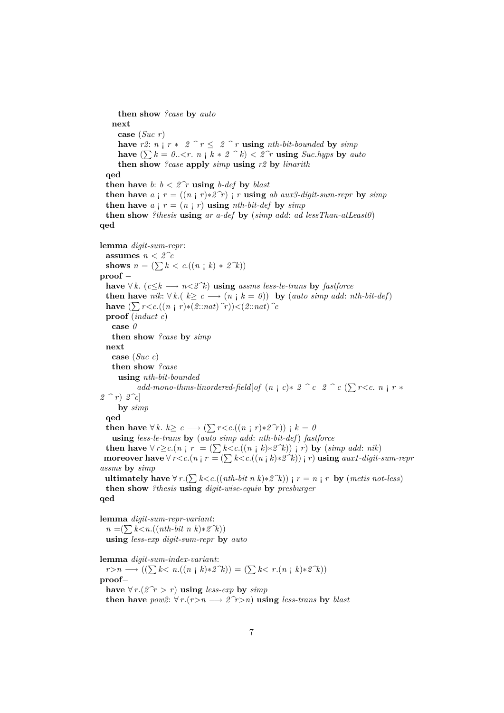**then show** *?case* **by** *auto* **next case** (*Suc r*) **have**  $r2: n \neq r * 2 \rceil r \leq 2 \rceil r$  **using**  $nth\text{-}bit\text{-}bounded$  **by**  $simp$ **have**  $(\sum k = 0... *n* |  $k * 2 \leq k$ ) < 2 $\hat{r}$  **using** *Suc.hyps* by *auto*$ **then show** *?case* **apply** *simp* **using** *r2* **by** *linarith* **qed then have** *b*:  $b < 2\hat{r}$  **using** *b-def* **by** *blast* **then have**  $a \text{ i } r = ((n \text{ i } r) * 2^r)$  ; r **using**  $ab \text{ aux3-digit-sum-repr}$  by  $simp$ **then have**  $a \text{ } i \text{ } r = (n \text{ } i \text{ } r)$  **using**  $nth\text{-}bit\text{-}def$  **by**  $simp$ **then show** *?thesis* **using** *ar a-def* **by** (*simp add*: *ad lessThan-atLeast0*) **qed lemma** *digit-sum-repr*: **assumes**  $n < 2^c$ *c* **shows**  $n = (\sum k < c.((n \cdot k) * 2^k))$ **proof** − **have** ∀ *k*. ( $c \le k \rightarrow n \le 2^k$ ) **using** assms less-le-trans **by** *fastforce* **then have** *nik*:  $\forall k.$  ( $k \ge c \longrightarrow (n \ne k = 0)$ ) **by** (*auto simp add: nth-bit-def*) **have**  $($   $\sum$  *r*<*c*.((*n* **;** *r*)∗(2::*nat*)  $\hat{\tau}$ ))<(2::*nat*)  $\hat{\tau}$ *c* **proof** (*induct c*) **case** *0* **then show** *?case* **by** *simp* **next case** (*Suc c*) **then show** *?case* **using** *nth-bit-bounded*  $add{\text -}mono{\text -}thms{\text -}linordered{\text -}field[of(n/c)*2^c c^2(c^c/c^c)]$ *2 ^ r*) *2^c*] **by** *simp* **qed then have**  $\forall k. k \ge c \longrightarrow (\sum r < c \cdot ((n \mid r) * 2^r r))$  ;  $k = 0$ **using** *less-le-trans* **by** (*auto simp add*: *nth-bit-def*) *fastforce* **then have** ∀ *r*≥*c*.(*n* **;** *r* = ( $\sum k < c$ .((*n* **;** *k*)\*2<sup>*n*</sup>*k*)) **;** *r*) **by** (*simp add: nik*) **moreover have**  $\forall r < c.(n \mid r) = (\sum k < c.\frac{(n \mid k) * 2^k}{r}) \mid r)$  **using** *aux1-digit-sum-repr assms* **by** *simp* **ultimately have** ∀ *r*.( $\sum k < c$ .((*nth-bit n k*)∗*2*<sup> $\hat{x}$ </sup>)) ; *r* = *n* ; *r* **by** (*metis not-less*) **then show** *?thesis* **using** *digit-wise-equiv* **by** *presburger* **qed lemma** *digit-sum-repr-variant*:  $n = (\sum k < n.((nth\text{-}bit \ n \ k) * 2^k))$ **using** *less-exp digit-sum-repr* **by** *auto* **lemma** *digit-sum-index-variant*:

*r*>*n* → (( $\sum k$ < *n*.((*n i k*)∗*2*<sup>*n*</sup>k)) = ( $\sum k$ < *r*.(*n i k*)\**2*<sup>*n*</sup>k)) **proof**− **have** ∀ *r*.( $2^r$  > *r*) **using** *less-exp* **by** *simp* **then have**  $pow2: \forall r.(r>n \rightarrow 2\hat{r}>n)$  **using** *less-trans* by *blast*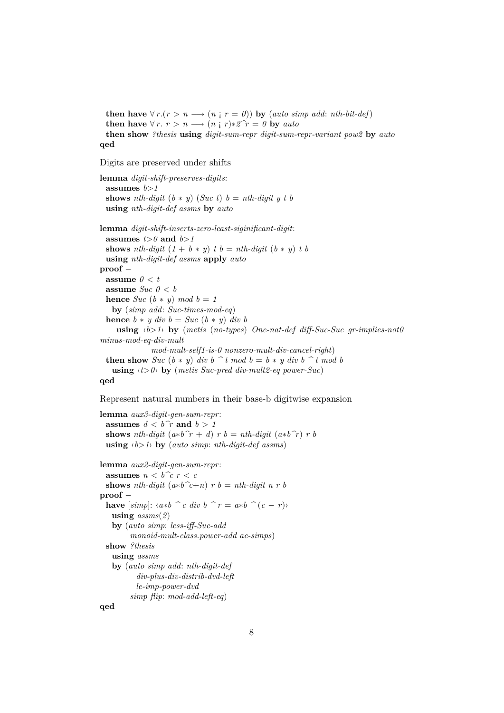**then have**  $\forall r.(r > n \rightarrow (n \mid r = 0))$  by (*auto simp add: nth-bit-def*) **then have**  $\forall r. r > n \longrightarrow (n \neq r) * 2^r r = 0$  by *auto* **then show** *?thesis* **using** *digit-sum-repr digit-sum-repr-variant pow2* **by** *auto* **qed**

Digits are preserved under shifts

**lemma** *digit-shift-preserves-digits*: assumes  $b > 1$ **shows** *nth-digit*  $(b * y)$   $(Suc t)$   $b = nth-digit y t b$ **using** *nth-digit-def assms* **by** *auto* **lemma** *digit-shift-inserts-zero-least-siginificant-digit*: **assumes**  $t > 0$  **and**  $b > 1$ **shows** *nth-digit*  $(1 + b * y)$  *t*  $b = nth\text{-}digit (b * y)$  *t*  $b$ **using** *nth-digit-def assms* **apply** *auto* **proof** − **assume**  $0 < t$ **assume**  $\textit{Suc 0} < b$ **hence**  $Suc$  ( $b * y$ )  $mod$   $b = 1$ **by** (*simp add*: *Suc-times-mod-eq*) **hence**  $b * y \, div \, b = Suc \, (b * y) \, div \, b$ **using** ‹*b*>*1*› **by** (*metis* (*no-types*) *One-nat-def diff-Suc-Suc gr-implies-not0 minus-mod-eq-div-mult mod-mult-self1-is-0 nonzero-mult-div-cancel-right*) **then show** *Suc*  $(b * y)$  *div*  $b \hat{\ }$  *t mod*  $b = b * y$  *div*  $b \hat{\ }$  *t mod*  $b$ **using**  $\langle t \rangle$  by (*metis Suc-pred div-mult2-eq power-Suc*)

**qed**

Represent natural numbers in their base-b digitwise expansion

```
lemma aux3-digit-gen-sum-repr:
 assumes d < b\hat{r} and b > 1shows nth-digit (a * b^r + d) r b = nth-digit(a * b^r) r busing ‹b>1› by (auto simp: nth-digit-def assms)
lemma aux2-digit-gen-sum-repr:
 assumes n < b <sup>\hat{c}</sup> r < cshows nth-digit (a*b^c+n) r b = nth-digit n r b
proof −
 have [simp]: \langle a*b \rangle c \, div \, b \, \rangle r = a*b \rangle c \, (c - r)using assms(2)
   by (auto simp: less-iff-Suc-add
        monoid-mult-class.power-add ac-simps)
  show ?thesis
   using assms
   by (auto simp add: nth-digit-def
          div-plus-div-distrib-dvd-left
          le-imp-power-dvd
        simp flip: mod-add-left-eq)
qed
```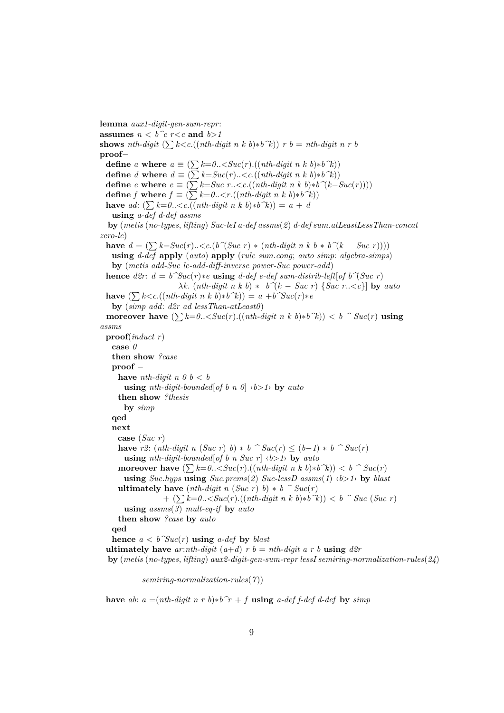**lemma** *aux1-digit-gen-sum-repr*: **assumes**  $n < b$  <sup> $\hat{c}$ </sup>  $r < c$  **and**  $b > 1$ **shows** *nth-digit*  $(\sum k < c \cdot ((nth\text{-}digit \ n \ k \ b) * b^k)) \ r \ b = nth\text{-}digit \ n \ r \ b$ **proof**− **define** *a* **where**  $a \equiv (\sum k=0..$ **define** *d* **where**  $d \equiv (\sum k = Suc(r) \ldots \langle c \cdot ((nth\text{-}digit \space n \space k \space b) * b \space \hat{\space k}))$ **define**  $e$  **where**  $e \equiv (\sum k = Suc \ r \ldots \langle c \cdot ((nth\text{-}digit \ n \ k \ b) * b \hat{\ } (\langle k - Suc(r) \rangle)))$ **define** *f* **where**  $f \equiv (\sum k=0...((*nth-digit n k b*)**b*<sup> $\hat{\ }$ </sup>*k*))$ **have** *ad*:  $(\sum k=0..$ **using** *a-def d-def assms* **by** (*metis* (*no-types*, *lifting*) *Suc-leI a-def assms*(*2*) *d-def sum*.*atLeastLessThan-concat zero-le*) **have**  $d = (\sum k = Suc(r) \ldots \langle c.(b \hat{\ } \langle Suc \; r) \rangle * (nth-digit \; n \; k \; b \cdot b \hat{\ } \langle k - Suc \; r) \rangle))$ **using** *d-def* **apply** (*auto*) **apply** (*rule sum*.*cong*; *auto simp*: *algebra-simps*) **by** (*metis add-Suc le-add-diff-inverse power-Suc power-add*) **hence**  $d2r$ :  $d = b^{\infty}Suc(r)*e$  **using**  $d$ -def  $e$ -def sum-distrib-left  $[of b^{\infty}]Suc$  r  $λk$ . (*nth-digit n k b*)  $*$  *b*<sup> $^(k − Suc r)$  {*Suc r*.. <*c*}] **by** *auto*</sup> **have**  $(\sum k < c \cdot ((nth\text{-}digit\ n\ k\ b) * b\ \hat{k})) = a + b\ \hat{k}$ **by** (*simp add*: *d2r ad lessThan-atLeast0*) **moreover have**  $(\sum k=0.. **using**$ *assms* **proof**(*induct r*) **case** *0* **then show** *?case* **proof** − **have** *nth-digit*  $n \theta b < b$ **using** *nth-digit-bounded*[*of b n 0*]  $\langle b \rangle$  *by auto* **then show** *?thesis* **by** *simp* **qed next case** (*Suc r*) **have**  $r2$ : (*nth-digit n* (*Suc r*) *b*) ∗ *b*  $\hat{ }$  *Suc(r*) ≤ (*b*−*1*) ∗ *b*  $\hat{ }$  *Suc(r*) **using** *nth-digit-bounded*[*of b n Suc r*]  $\langle b \rangle$  *by auto* **moreover have**  $(\sum k=0..\langle \mathit{Suc}(r) . ((nth-digit \; n \; k \; b)*b\; \; k)) \langle b \; \; \; \; \; \mathit{Suc}(r)$ **using** *Suc*.*hyps* **using** *Suc*.*prems*(*2*) *Suc-lessD assms*(*1*) ‹*b*>*1*› **by** *blast* **ultimately have**  $(nth-digit \; n \; (Suc \; r) \; b) * b \; ^\frown \; Suc(r)$  $+$  ( $\sum k=0$ .. < Suc(*r*).((*nth-digit n k b*)\**b*<sup>*n*</sup>*k*)) < *b* <sup>*n*</sup> Suc (Suc *r*) **using** *assms*(*3*) *mult-eq-if* **by** *auto* **then show** *?case* **by** *auto* **qed hence**  $a < b^{\sim}Suc(r)$  **using**  $a$ -def **by** *blast* **ultimately have**  $ar: nth-digit (a+d)$   $r b = nth-digit a r b$  **using**  $d2r$ **by** (*metis* (*no-types*, *lifting*) *aux2-digit-gen-sum-repr lessI semiring-normalization-rules*(*24*)

*semiring-normalization-rules*(*7* ))

**have** *ab*:  $a = (nth\text{-}digit\ n\ r\ b)*b^r + f$  **using**  $a\text{-}def\text{-}def\text{-}def\text{-}def$  **by**  $simp$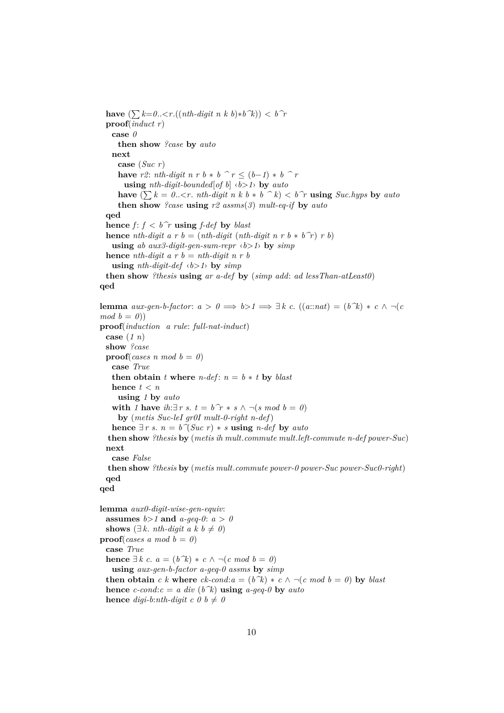**have**  $(∑ k=0..{<}r.((nth\t{-}digit \; n \; k \; b)*b^k)) < b^r$ **proof**(*induct r*) **case** *0* **then show** *?case* **by** *auto* **next case** (*Suc r*) **have**  $r2$ : *nth-digit n r b \* b ^ r* <  $(b-1)$  \* *b ^ r* **using** *nth-digit-bounded*[*of b*] ‹*b*>*1*› **by** *auto* **have**  $(\sum k = 0.. \lt r$ . *nth-digit n k b \* b ^ k*)  $\lt b$  *f r* **using** *Suc.hyps* by *auto* **then show** *?case* **using** *r2 assms*(*3*) *mult-eq-if* **by** *auto* **qed hence**  $f: f < b^r$  **using**  $f\text{-}def$  **by**  $\text{blast}$ **hence** *nth-digit a r b = (nth-digit (nth-digit n r b*  $*$  *b<sup>* $\hat{r}$ *</sup>) <i>r b*) **using** *ab aux3-digit-gen-sum-repr*  $\langle b \rangle$  *by simp* **hence** *nth-digit a r b = nth-digit n r b* **using** *nth-digit-def*  $\langle b \rangle$  *h* **by**  $\text{sim}$ *p* **then show** *?thesis* **using** *ar a-def* **by** (*simp add*: *ad lessThan-atLeast0*) **qed lemma** *aux-gen-b-factor*:  $a > 0 \implies b > 1 \implies \exists k \ c. \ ((a::nat) = (b \ \hat{k}) * c \ \wedge \ \neg(c)$  $mod b = 0$ ) **proof**(*induction a rule*: *full-nat-induct*) **case** (*1 n*) **show** *?case* **proof**(*cases n mod*  $b = 0$ ) **case** *True* **then obtain** *t* where  $n$ -def:  $n = b * t$  by *blast* **hence**  $t < n$ **using** *1* **by** *auto* with *1* have  $ih: \exists r \ s. t = b^r \ t * s \land \neg(s \ mod \ b = 0)$ **by** (*metis Suc-leI gr0I mult-0-right n-def*)

**hence** ∃ *r s*.  $n = b \, \hat{\mathcal{A}}$  *Suc r*)  $*$  *s* **using** *n-def* **by** *auto* **then show** *?thesis* **by** (*metis ih mult*.*commute mult*.*left-commute n-def power-Suc*)

**case** *False*

**then show** *?thesis* **by** (*metis mult*.*commute power-0 power-Suc power-Suc0-right*) **qed**

```
qed
```
**next**

**lemma** *aux0-digit-wise-gen-equiv*: **assumes**  $b > 1$  **and**  $a$ -geq-0:  $a > 0$ **shows** ( $\exists k$ . *nth-digit a k b*  $\neq 0$ *)* **proof**(*cases a mod b = 0*) **case** *True* **hence** ∃ *k c*.  $a = (b^k) * c \land \neg(c \mod b = 0)$ **using** *aux-gen-b-factor a-geq-0 assms* **by** *simp* **then obtain** *c k* where  $ck$ -cond: $a = (b^k) * c \wedge \neg(c \mod b = 0)$  by blast **hence**  $c$ -cond: $c = a$  div  $(b^k)$  **using**  $a$ -geq-0 **by**  $auto$ **hence** *digi-b:nth-digit c 0 b*  $\neq$  *0*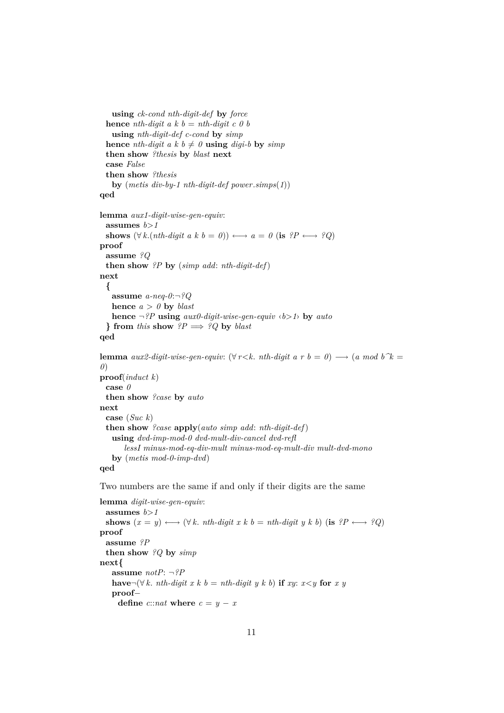```
using ck-cond nth-digit-def by force
 hence nth-digit a k b = nth-digit c 0 b
   using nth-digit-def c-cond by simp
 hence nth-digit a k b \neq 0 using digi-b by simp
 then show ?thesis by blast next
 case False
 then show ?thesis
   by (metis div-by-1 nth-digit-def power.simps(1))
qed
lemma aux1-digit-wise-gen-equiv:
 assumes b>1
 shows (\forall k.(nth-digit a k b = 0)) \longleftrightarrow a = 0 (is ?P \longleftrightarrow ?Q)
proof
 assume ?Q
 then show ?P by (simp add: nth-digit-def)
next
  {
   assume a-neq-0:¬?Q
   hence a > 0 by blast
   hence ¬?P using aux0-digit-wise-gen-equiv ‹b>1› by auto
  } from this show ?P \implies ?Q by blast
qed
lemma aux2-digit-wise-gen-equiv: (\forall r < k. nth-digit a r b = 0) \rightarrow (a mod b \hat{\ }k =
0)
proof(induct k)
 case 0
 then show ?case by auto
next
 case (Suc k)
 then show ?case apply(auto simp add: nth-digit-def)
   using dvd-imp-mod-0 dvd-mult-div-cancel dvd-refl
      lessI minus-mod-eq-div-mult minus-mod-eq-mult-div mult-dvd-mono
   by (metis mod-0-imp-dvd)
qed
Two numbers are the same if and only if their digits are the same
lemma digit-wise-gen-equiv:
 assumes b > 1shows (x = y) \longleftrightarrow (\forall k \cdot nh\text{-}digit \ x \ k \ b = nth\text{-}digit \ y \ k \ b) (is ?P \longleftrightarrow ?Q)
proof
```
**assume** *?P* **then show** *?Q* **by** *simp* **next{ assume** *notP*: ¬*?P* **have** $\neg(\forall k. \text{ nth-digit } x \text{ } k \text{ } b = \text{nth-digit } y \text{ } k \text{ } b)$  **if** *xy*: *x*<*y* **for** *x y* **proof**− **define**  $c::nat$  **where**  $c = y - x$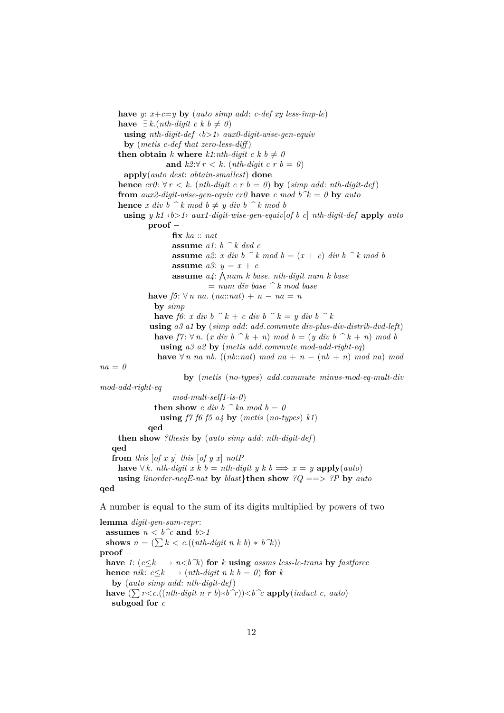**have** *y*:  $x+c=y$  **by** (*auto simp add*: *c-def xy less-imp-le*) **have** ∃ *k*.(*nth-digit c k b ≠ 0*) **using** *nth-digit-def* ‹*b*>*1*› *aux0-digit-wise-gen-equiv* **by** (*metis c-def that zero-less-diff* ) **then obtain** *k* **where** *k1*:*nth-digit c k*  $b \neq 0$ and  $k2:\forall r < k$ . (*nth-digit c r b = 0*) **apply**(*auto dest*: *obtain-smallest*) **done hence**  $cr0: \forall r < k$ . (*nth-digit c r b = 0*) **by** (*simp add: <i>nth-digit-def*) **from** *aux2-digit-wise-gen-equiv cr0* **have** *c* mod  $b^k = 0$  **by** *auto* **hence** *x div*  $b \hat{ }^k$  *k* mod  $b \neq y$  div  $b \hat{ }^k$  *k* mod  $b$ **using** *y k1* ‹*b*>*1*› *aux1-digit-wise-gen-equiv*[*of b c*] *nth-digit-def* **apply** *auto* **proof** − **fix** *ka* :: *nat* **assume** *a1*: *b ^ k dvd c* **assume**  $a2$ : *x div*  $b \frown k$  *mod*  $b = (x + c)$  *div*  $b \frown k$  *mod*  $b$ **assume**  $a3: y = x + c$ **assume**  $a_4$ :  $\bigwedge num \; k$  base. *nth-digit num k base* = *num div base ^ k mod base* **have** *f5*: ∀ *n na*. (*na*::*nat*) + *n* − *na* = *n* **by** *simp* **have** *f6*: *x* div  $b \hat{k} + c$  div  $b \hat{k} = y$  div  $b \hat{k}$ **using** *a3 a1* **by** (*simp add*: *add*.*commute div-plus-div-distrib-dvd-left*) **have**  $f7: \forall n$ . (*x div b*  $\hat{k} + n$ ) *mod b* = (*y div b*  $\hat{k} + n$ ) *mod b* **using** *a3 a2* **by** (*metis add*.*commute mod-add-right-eq*) **have** ∀ *n na nb*. ((*nb*::*nat*) *mod na* + *n* − (*nb* + *n*) *mod na*) *mod na* = *0* **by** (*metis* (*no-types*) *add*.*commute minus-mod-eq-mult-div mod-add-right-eq mod-mult-self1-is-0*) **then show** *c div b*  $\hat{a}$  *ka mod b* = *0* **using** *f7 f6 f5 a4* **by** (*metis* (*no-types*) *k1*) **qed then show** *?thesis* **by** (*auto simp add*: *nth-digit-def*) **qed from** *this* [*of x y*] *this* [*of y x*] *notP* **have** ∀ *k*. *nth-digit x k b* = *nth-digit y k b*  $\implies$  *x* = *y* **apply**(*auto*) **using** *linorder-neqE-nat* **by** *blast***}then show** *?Q* ==> *?P* **by** *auto* **qed**

A number is equal to the sum of its digits multiplied by powers of two

**lemma** *digit-gen-sum-repr*: **assumes**  $n < b^c$  **and**  $b > 1$ shows  $n = (\sum k < c \cdot ((nth\text{-}digit\ n\ k\ b) * b\ \hat{k}))$ **proof** − **have** 1:  $(c \leq k \rightarrow n \leq b \land k)$  for *k* **using** *assms less-le-trans* by *fastforce* **hence** *nik*:  $c \leq k \longrightarrow (nth\text{-}digit\ n\ k\ b = 0)$  **for**  $k$ **by** (*auto simp add*: *nth-digit-def*) **have**  $(∑ rcc.((nth-digit n r b)*b^r)) < b^c c$  **apply**(*induct c, auto*) **subgoal for** *c*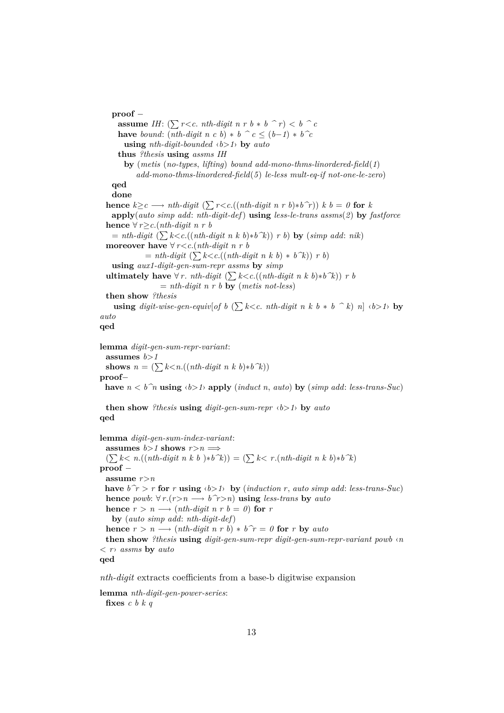**proof** − **assume** *IH*:  $(\sum r < c$ . *nth-digit n r b \* b*  $\hat{r}$   $r$ )  $\langle b \hat{r} \rangle$ **have** *bound*:  $(nth\text{-}digit\ n\ c\ b) * b \ ^c c \leq (b-1) * b \ ^c c$ **using** *nth-digit-bounded* ‹*b*>*1*› **by** *auto* **thus** *?thesis* **using** *assms IH* **by** (*metis* (*no-types*, *lifting*) *bound add-mono-thms-linordered-field*(*1*) *add-mono-thms-linordered-field*(*5*) *le-less mult-eq-if not-one-le-zero*) **qed done hence**  $k \geq c \longrightarrow nth\text{-}digit \ (\sum r < c \ \ ((\text{nth\text{-}}digit \ n \ r \ b) * b \ \hat{r})\ ) \ k \ b = 0$  for  $k$ **apply**(*auto simp add*: *nth-digit-def*) **using** *less-le-trans assms*(*2*) **by** *fastforce* **hence** ∀ *r*≥*c*.(*nth-digit n r b*  $=$  *nth-digit*  $(\sum k < c \cdot ((nth\text{-}digit \ n \ k \ b)*b\text{-}k)) \ r \ b)$  by (*simp add: nik*) **moreover have**  $\forall r < c$ .(*nth-digit n r b*  $=$  *nth-digit*  $(\sum k < c \cdot ((nth\text{-}digit \space n \space k \space b) * b\space k)) \space r \space b)$ **using** *aux1-digit-gen-sum-repr assms* **by** *simp* **ultimately have**  $\forall r$ . *nth-digit* ( $\sum k < c$ .((*nth-digit n k b*)\**b*<sup> $\land$ </sup>*k*)) *r b*  $=$  *nth-digit n r b* **by** (*metis not-less*) **then show** *?thesis* **using** *digit-wise-gen-equiv*[*of b* ( $\sum k < c$ . *nth-digit n k b* \* *b*  $\hat{ }$  *k*) *n*]  $\langle b > 1 \rangle$  **by** *auto* **qed lemma** *digit-gen-sum-repr-variant*: **assumes** *b*>*1* shows  $n = (\sum k < n.((nth-digit n k b) * b^k))$ **proof**− **have**  $n < b^n$  **using**  $\langle b > 1 \rangle$  **apply** (*induct n, auto*) **by** (*simp add; less-trans-Suc*) **then show** *?thesis* **using** *digit-gen-sum-repr* ‹*b*>*1*› **by** *auto* **qed lemma** *digit-gen-sum-index-variant*: **assumes**  $b>1$  **shows**  $r>n \implies$  $(\sum k < n.((nth-digit n k b) * b^k)) = (\sum k < r. (nth-digit n k b) * b^k)$ **proof** − **assume** *r*>*n* **have**  $b^r$  > *r* **for** *r* **using**  $\langle b>1 \rangle$  **by** (*induction r*, *auto simp add: less-trans-Suc*) **hence** *powb*:  $\forall r.(r > n \rightarrow b\hat{r} > n)$  **using** *less-trans* **by** *auto* **hence**  $r > n \longrightarrow (nth\text{-}digit\ n\ r\ b = 0)$  **for**  $r$ **by** (*auto simp add*: *nth-digit-def*) **hence**  $r > n \longrightarrow (nth\text{-}digit\ n\ r\ b) * b\ \hat{r} = 0$  **for**  $r$  **by**  $auto$ **then show** *?thesis* **using** *digit-gen-sum-repr digit-gen-sum-repr-variant powb* ‹*n* < *r*› *assms* **by** *auto* **qed**

*nth-digit* extracts coefficients from a base-b digitwise expansion

**lemma** *nth-digit-gen-power-series*: **fixes** *c b k q*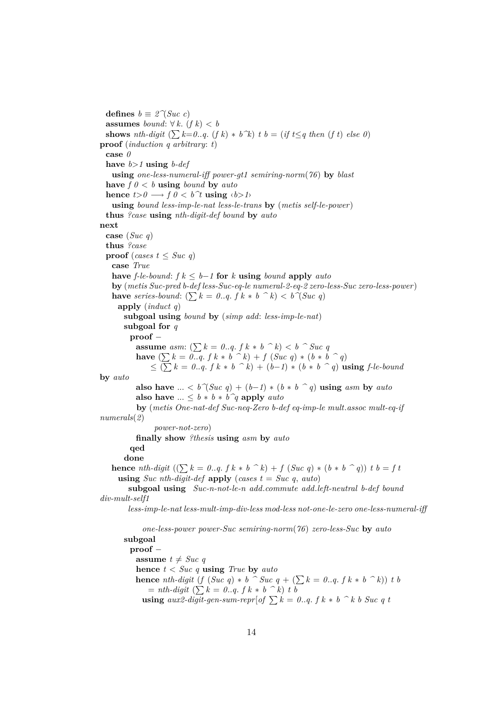**defines**  $b \equiv 2^{\gamma}(Suc \ c)$ **assumes** *bound*: ∀ *k*. (*f k*) < *b* **shows** *nth-digit*  $(\sum k=0..q, (f k) * b^k)$  *t b* = (*if t*≤*q then* (*f t*) *else* 0) **proof** (*induction q arbitrary*: *t*) **case** *0* **have** *b*>*1* **using** *b-def* **using** *one-less-numeral-iff power-gt1 semiring-norm*(*76*) **by** *blast* **have**  $f \theta \leq b$  **using** *bound* **by** *auto* **hence**  $t>0 \longrightarrow f \cup 0 < b^{\uparrow}t$  **using**  $\langle b>1 \rangle$ **using** *bound less-imp-le-nat less-le-trans* **by** (*metis self-le-power*) **thus** *?case* **using** *nth-digit-def bound* **by** *auto* **next case** (*Suc q*) **thus** *?case* **proof** (*cases*  $t \leq Sucq q$ ) **case** *True* **have**  $f$ -le-bound:  $f k \leq b-1$  **for**  $k$  **using** bound **apply**  $auto$ **by** (*metis Suc-pred b-def less-Suc-eq-le numeral-2-eq-2 zero-less-Suc zero-less-power*) **have** *series-bound*:  $(\sum k = 0..q, f k * b \land k) < b \land (Suc q)$ **apply** (*induct q*) **subgoal using** *bound* **by** (*simp add*: *less-imp-le-nat*) **subgoal for** *q* **proof** − **assume** *asm*:  $(\sum k = 0..q. f k * b \land k) < b \land Suc q$ **have**  $(\sum k = 0..q, f k * b \land k) + f(Suc q) * (b * b \land q)$  $\leq$  ( $\sum k = 0..q$ , *f*  $k * b$   $\hat{ }$   $k$ ) + (*b*−*1*)  $*$  (*b*  $*$  *b*  $\hat{ }$   $q$ ) **using** *f*-le-bound **by** *auto* **also have** ... <  $b^{\frown} (Suc \ q) + (b-1) * (b * b \ q)$  **using**  $asm \text{ by } auto$ **also have**  $\ldots \leq b * b * b^q$  **apply** *auto* **by** (*metis One-nat-def Suc-neq-Zero b-def eq-imp-le mult*.*assoc mult-eq-if numerals*(*2*) *power-not-zero*) **finally show** *?thesis* **using** *asm* **by** *auto* **qed done hence** *nth-digit*  $((\sum k = 0..q, f k * b \land k) + f (Suc q) * (b * b \land q)) t b = f t$ **using** *Suc nth-digit-def* **apply** (*cases t* = *Suc q*, *auto*) **subgoal using** *Suc-n-not-le-n add*.*commute add*.*left-neutral b-def bound div-mult-self1 less-imp-le-nat less-mult-imp-div-less mod-less not-one-le-zero one-less-numeral-iff one-less-power power-Suc semiring-norm*(*76*) *zero-less-Suc* **by** *auto* **subgoal proof** − **assume**  $t \neq Suc q$ **hence** *t* < *Suc q* **using** *True* **by** *auto* **hence** *nth-digit*  $(f (Suc q) * b \cdot Suc q + (\sum k = 0..q, f k * b \cdot k)) t b$  $=$  *nth-digit*  $(\sum k = 0..q. f k * b \space k)$  *t b* **using**  $aux2\text{-}digit\text{-}gen\text{-}sum\text{-}repr[of \sum k = 0..q. f k * b \; k \; b \; Suc \; q \; t$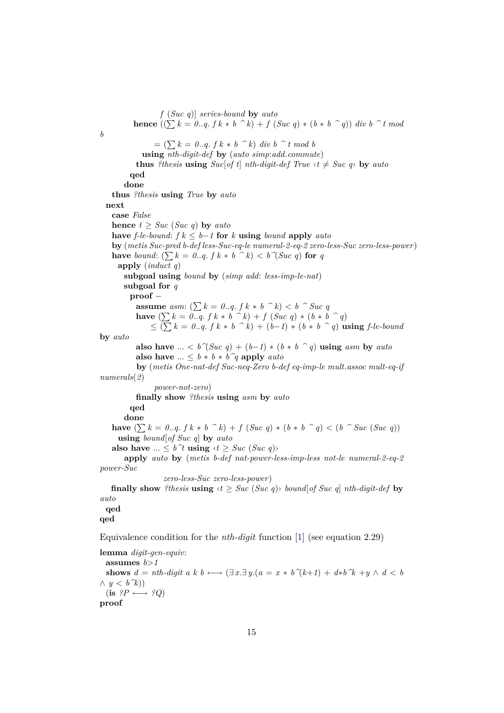*f* (*Suc q*)] *series-bound* **by** *auto* **hence**  $((\sum k = 0..q, f k * b \; \hat{\ } k) + f(Suc q) * (b * b \; \hat{\ } q))$  *div b*  $\hat{\ } t \mod$ *b*  $= (\sum k = 0..q. f k * b \hat{ }^k)$  *div*  $b \hat{ }^k t$  *mod b* **using** *nth-digit-def* **by** (*auto simp*:*add*.*commute*) **thus** *?thesis* **using**  $Suc[of t]$  *nth-digit-def*  $True \t\times t \neq Suc q$  **by**  $auto$ **qed done thus** *?thesis* **using** *True* **by** *auto* **next case** *False* **hence**  $t \geq Suc$  (*Suc q*) **by** *auto* **have** *f*-le-bound: *f*  $k ≤ b-1$  **for**  $k$  **using** bound **apply** *auto* **by** (*metis Suc-pred b-def less-Suc-eq-le numeral-2-eq-2 zero-less-Suc zero-less-power*) **have** *bound*:  $(\sum k = 0..q, f k * b \land k) < b \land (Suc q)$  for *q* **apply** (*induct q*) **subgoal using** *bound* **by** (*simp add*: *less-imp-le-nat*) **subgoal for** *q* **proof** − **assume** *asm*:  $(\sum k = 0..q, f k * b \land k) < b \land Suc q$ **have**  $(∑ k = 0..q. f k * b ^ \frown k) + f (Suc q) * (b * b ^ \frown q)$  $\leq$  ( $\sum k = 0..q$ , *f*  $k * b$   $\hat{o}$   $k$ ) + (*b*−*1*)  $*$  (*b*  $*$  *b*  $\hat{o}$  *q*) **using** *f*-*le*-bound **by** *auto* **also have** ... <  $b^{\frown}$ (*Suc q*) + (*b*−*1*) \* (*b* \* *b*  $\frown$  *q*) **using** *asm* **by** *auto* **also have** ...  $\leq b * b * b^q$  **apply** *auto* **by** (*metis One-nat-def Suc-neq-Zero b-def eq-imp-le mult*.*assoc mult-eq-if numerals*(*2*) *power-not-zero*) **finally show** *?thesis* **using** *asm* **by** *auto* **qed done have**  $(∑ k = 0..q. f k * b ^ n k) + f (Suc q) * (b * b ^ q) < (b ^ s Suc (Suc q))$ **using** *bound*[*of Suc q*] **by** *auto* **also have** ...  $\leq b^{\uparrow}t$  **using**  $\langle t \geq \textit{Suc } (\textit{Suc } q) \rangle$ **apply** *auto* **by** (*metis b-def nat-power-less-imp-less not-le numeral-2-eq-2 power-Suc zero-less-Suc zero-less-power*) **finally show** *?thesis* **using**  $\langle t \rangle \geq \textit{Suc } (\textit{Suc } q)$  *bound* [*of Suc q*] *nth-digit-def* by *auto* **qed qed** Equivalence condition for the *nth-digit* function [\[1\]](#page-32-0) (see equation 2.29) **lemma** *digit-gen-equiv*: assumes  $b > 1$ **shows**  $d = nth\text{-}digit\ a\ k\ b \longleftrightarrow (\exists\ x.\exists\ y. (a = x * b\ \hat{(}k+1) + d*b\ \hat{k} + y \wedge d < b$  $\wedge$  *y* < *b*<sup> $\wedge$ </sup>*k*))  $(i\mathbf{s} \ \mathscr{P} \longleftrightarrow \mathscr{P}Q)$ 

**proof**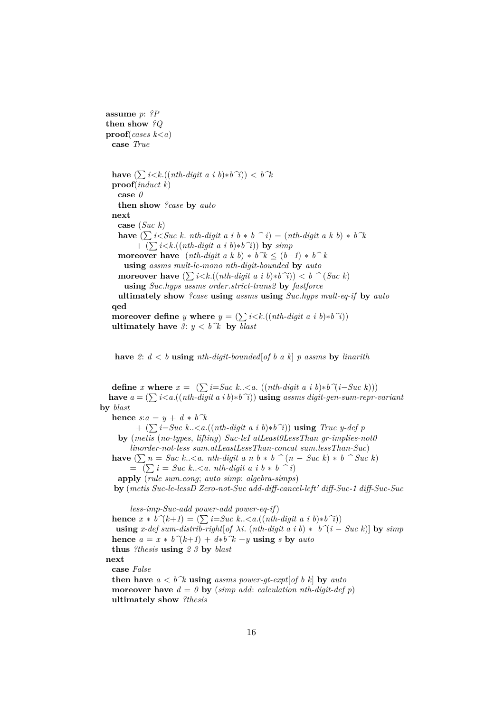**assume** *p*: *?P* **then show** *?Q* **proof**(*cases k*<*a*) **case** *True*

**have**  $(∑ i < k.((nth-digit a i b)*b^i)) < b^k$ **proof**(*induct k*) **case** *0* **then show** *?case* **by** *auto* **next case** (*Suc k*) **have**  $(\sum i < Suc \; k$ . *nth-digit a i b*  $*$  *b*  $\hat{i}$ ) =  $(nth\text{-}digit \; a \; k \; b) * b\hat{k}$  $+$  ( $\sum i < k.((nth-digit a i b) * b^i)$ ) **by**  $simp$ **moreover have**  $(nth\text{-}digit\ a\ k\ b) * b^k \leq (b-1) * b^k$ **using** *assms mult-le-mono nth-digit-bounded* **by** *auto* **moreover have**  $(\sum i < k \cdot ((nth\text{-}digit\ a\ i\ b) * b\ \hat{i})) < b \ \hat{i}$ **using** *Suc*.*hyps assms order*.*strict-trans2* **by** *fastforce* **ultimately show** *?case* **using** *assms* **using** *Suc*.*hyps mult-eq-if* **by** *auto* **qed moreover define** *y* **where**  $y = (\sum i < k \cdot ((nth\text{-}digit\text{ }a\text{ }i\text{ }b)*b\text{ }i))$ 

**ultimately have**  $3: y < b^k$  **by** *blast* 

**have** 2:  $d < b$  **using**  $nth\text{-}digit\text{-}bounded[of\ b\ a\ k]\ p\ assumes by\ linearity.$ 

**define** *x* **where**  $x = (\sum_{i=1}^{n} i = Suc \; k \cdot \cdot \cdot \cdot \cdot$  ((*nth-digit a i b*)\**b*<sup> $\hat{\gamma}$ (*i*−*Suc k*)))</sup> **have**  $a = (\sum i < a.((nth-digit a i b) * b^i))$  **using** *assms digit-gen-sum-repr-variant* **by** *blast*

**hence**  $s:a = y + d * b^k$ 

+ (P*i*=*Suc k*..<*a*.((*nth-digit a i b*)∗*b^i*)) **using** *True y-def p* **by** (*metis* (*no-types*, *lifting*) *Suc-leI atLeast0LessThan gr-implies-not0*

*linorder-not-less sum*.*atLeastLessThan-concat sum*.*lessThan-Suc*)

**have**  $(∑ n = Succ k..< a. nth-digit a n b * b ^ (n - Succ k) * b ^ Suc k)$  $= (\sum i = Suc \ k \ldots \lt a \ldots nth-digit \ a \ i \ b \ast b \ \hat{\ } \ i)$ 

**apply** (*rule sum*.*cong*; *auto simp*: *algebra-simps*)

**by** (*metis Suc-le-lessD Zero-not-Suc add-diff-cancel-left* <sup>0</sup> *diff-Suc-1 diff-Suc-Suc*

*less-imp-Suc-add power-add power-eq-if*) **hence**  $x * b^{\hat{ }}(k+1) = (\sum_{i=1}^{n} i = Suc \ k. .$ 

**using** *x-def sum-distrib-right*[*of*  $\lambda i$ . (*nth-digit a i b*) \*  $b^{\hat{ }}(i - \textit{Suc } k)$ ] **by** *simp* **hence**  $a = x * b^{\uparrow}(k+1) + d * b^{\uparrow}(k+1) + y$  **using** *s* **by** *auto* **thus** *?thesis* **using** *2 3* **by** *blast* **next case** *False*

**then have**  $a < b^k$  **using** *assms power-gt-expt*[*of b k*] **by** *auto* **moreover have**  $d = 0$  **by** (*simp add: calculation nth-digit-def p*) **ultimately show** *?thesis*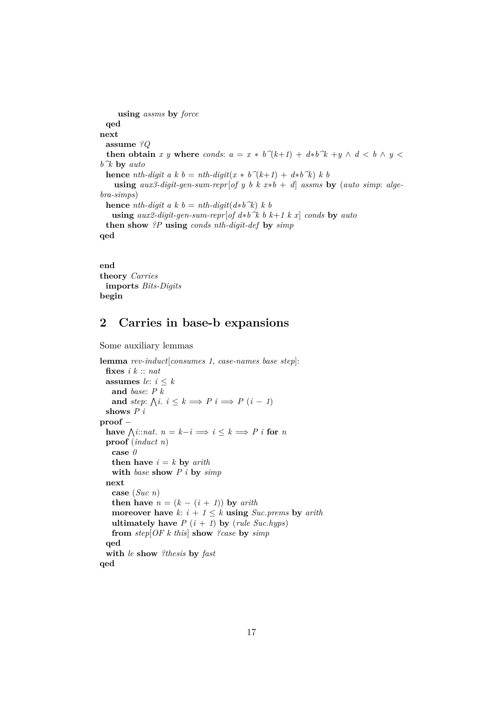```
using assms by force
 qed
next
 assume ?Q
  then obtain x y where conds: a = x * b^{\uparrow}(k+1) + d * b^{\uparrow}k + y \wedge d < b \wedge y <b^k by auto
 hence nth-digit a k b = nth-digit(x * b^{\uparrow}(k+1) + d^*b^{\uparrow}(k) k b
    using aux3\text{-}digit\text{-}gen\text{-}sum\text{-}repr[of y b k x*b + d] assumes by (auto\text{ }simp:~ale\text{-}l)bra-simps)
 hence nth-digit a k b = nth-digit(d * b^k) k b
   using aux2-digit-gen-sum-repr[of d∗b^k b k+1 k x] conds by auto
 then show ?P using conds nth-digit-def by simp
qed
```
**end theory** *Carries* **imports** *Bits-Digits* **begin**

# <span id="page-16-0"></span>**2 Carries in base-b expansions**

Some auxiliary lemmas

```
lemma rev-induct[consumes 1, case-names base step]:
 fixes i k :: nat
 assumes le: i \leq kand base: P k
   and step: \bigwedge i : i \leq k \implies P \quad i \implies P \quad (i-1)shows P i
proof −
  have \bigwedgei::nat. n = k - i \Longrightarrow i \leq k \Longrightarrow P i for n
 proof (induct n)
   case 0
   then have i = k by arithwith base show P i by simp
 next
   case (Suc n)
   then have n = (k - (i + 1)) by arith
   moreover have k: i + 1 \leq k using Suc.prems by arith
   ultimately have P(i + 1) by (rule Suc.hyps)
   from step[OF k this] show ?case by simp
 qed
  with le show ?thesis by fast
qed
```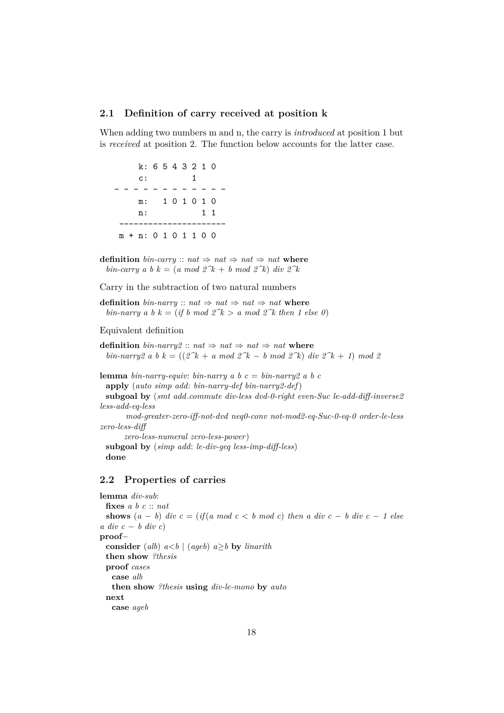## <span id="page-17-0"></span>**2.1 Definition of carry received at position k**

When adding two numbers m and n, the carry is *introduced* at position 1 but is *received* at position 2. The function below accounts for the latter case.

k: 6 5 4 3 2 1 0 c: 1 - - - - - - - - - - - m: 1 0 1 0 1 0 n: 1 1 --------------------- m + n: 0 1 0 1 1 0 0

**definition** *bin-carry* ::  $nat \Rightarrow nat \Rightarrow nat \Rightarrow nat$ *bin-carry a b*  $k = (a \mod 2^k + b \mod 2^k)$  *div*  $2^k$ 

Carry in the subtraction of two natural numbers

**definition** *bin-narry* ::  $nat \Rightarrow nat \Rightarrow nat \Rightarrow nat$ *bin-narry a b*  $k = (if \, b \mod 2^k)$  *a* mod 2 $k$  then 1 else 0)

## Equivalent definition

**definition**  $\text{bin-narry2}$  ::  $\text{nat} \Rightarrow \text{nat} \Rightarrow \text{nat} \Rightarrow \text{nat} \text{ where}$ *bin-narry2 a b k* =  $((2^k + a \mod 2^k - b \mod 2^k) \text{ div } 2^k + 1) \text{ mod } 2$ 

**lemma** *bin-narry-equiv: bin-narry a b*  $c = bin-narry2$  *a b c* **apply** (*auto simp add*: *bin-narry-def bin-narry2-def*) **subgoal by** (*smt add*.*commute div-less dvd-0-right even-Suc le-add-diff-inverse2 less-add-eq-less mod-greater-zero-iff-not-dvd neq0-conv not-mod2-eq-Suc-0-eq-0 order-le-less zero-less-diff zero-less-numeral zero-less-power*) **subgoal by** (*simp add*: *le-div-geq less-imp-diff-less*) **done**

## <span id="page-17-1"></span>**2.2 Properties of carries**

**lemma** *div-sub*: **fixes** *a b c* :: *nat* **shows**  $(a - b)$  *div*  $c = (if(a \mod c < b \mod c)$  *then a div*  $c - b$  *div*  $c - 1$  *else a div c* − *b div c*) **proof**− **consider** (*alb*)  $a < b$  | (*ageb*)  $a \geq b$  **by** *linarith* **then show** *?thesis* **proof** *cases* **case** *alb* **then show** *?thesis* **using** *div-le-mono* **by** *auto* **next case** *ageb*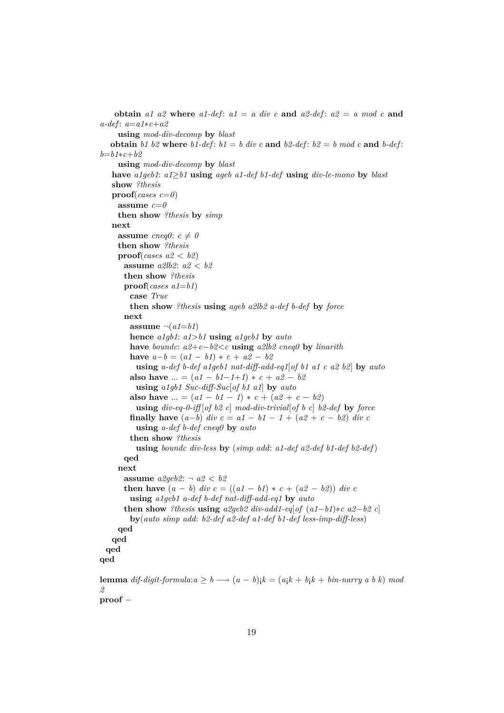```
obtain a1 a2 where a1-def: a1 = a div c and a2-def: a2 = a mod c and
a-def : a=a1∗c+a2
    using mod-div-decomp by blast
  obtain b1 b2 where b1-def: b1 = b div c and b2-def: b2 = b mod c and b-def:
b=b1∗c+b2
    using mod-div-decomp by blast
   have a1geb1: a1≥b1 using ageb a1-def b1-def using div-le-mono by blast
   show ?thesis
   proof(cases c=0)
    assume c=0then show ?thesis by simp
   next
    assume \text{cneq}\theta: c \neq \thetathen show ?thesis
    proof(cases a2 < b2)
      assume a2lb2: a2 < b2
      then show ?thesis
      proof(cases a1=b1)
       case True
       then show ?thesis using ageb a2lb2 a-def b-def by force
      next
       assume \neg(a1=b1)hence a1gb1: a1>b1 using a1geb1 by auto
       have boundc: a2+c−b2<c using a2lb2 cneq0 by linarith
       have a-b = (a1 - b1) * c + a2 - b2using a-def b-def a1geb1 nat-diff-add-eq1[of b1 a1 c a2 b2] by auto
       also have ... = (a1 - b1 - 1 + 1) * c + a2 - b2using a1gb1 Suc-diff-Suc[of b1 a1] by auto
       also have ... = (a1 - b1 - 1) * c + (a2 + c - b2)using div-eq-0-iff [of b2 c] mod-div-trivial[of b c] b2-def by force
       finally have (a-b) div c = a1 - b1 - 1 + (a2 + c - b2) div cusing a-def b-def cneq0 by auto
       then show ?thesis
         using boundc div-less by (simp add: a1-def a2-def b1-def b2-def)
      qed
    next
      assume a2geb2: ¬ a2 < b2
      then have (a - b) div c = ((a1 - b1) * c + (a2 - b2)) div c
       using a1geb1 a-def b-def nat-diff-add-eq1 by auto
      then show ?thesis using a2geb2 div-add1-eq[of (a1-b1)*c a2-b2 c]
       by(auto simp add: b2-def a2-def a1-def b1-def less-imp-diff-less)
    qed
   qed
 qed
qed
lemma dif-digit-formula:a > b \longrightarrow (a - b);k = (a_1k + b_1k + b_2k + b_3k + b_3k) mod
2
```
**proof** −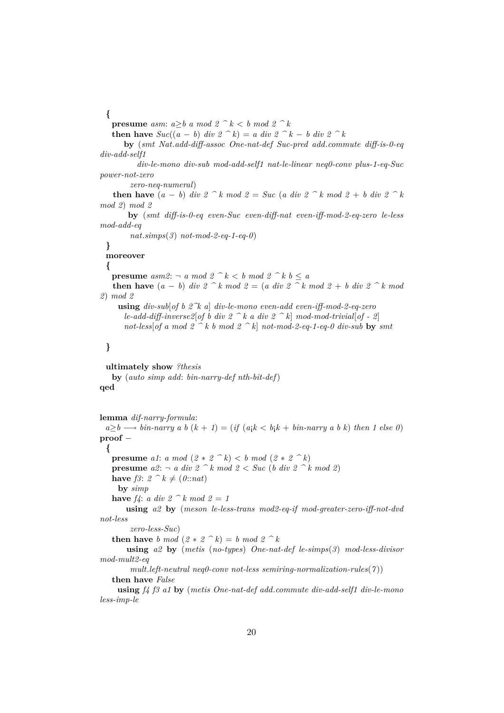**{**

**presume** *asm:*  $a \geq b$  *a mod*  $2 \, \hat{\ } \, k < b$  *mod*  $2 \, \hat{\ } \, k$ 

**then have**  $Suc((a - b)$  *div*  $2 \le k$ ) = *a div*  $2 \le k$  − *b div*  $2 \le k$ 

**by** (*smt Nat*.*add-diff-assoc One-nat-def Suc-pred add*.*commute diff-is-0-eq div-add-self1*

*div-le-mono div-sub mod-add-self1 nat-le-linear neq0-conv plus-1-eq-Suc power-not-zero*

*zero-neq-numeral*)

**then have**  $(a - b)$  *div*  $2 \leq k \mod 2 = 5$ *uc*  $(a \text{ div } 2 \leq k \mod 2 + b \text{ div } 2 \leq k$ *mod 2*) *mod 2*

**by** (*smt diff-is-0-eq even-Suc even-diff-nat even-iff-mod-2-eq-zero le-less mod-add-eq*

*nat*.*simps*(*3*) *not-mod-2-eq-1-eq-0*)

# **}**

**moreover**

**{**

**presume**  $asm2: \neg a \mod 2 \cap k < b \mod 2 \cap k b \leq a$ 

**then have**  $(a - b)$  *div*  $2 \leq k \mod 2 = (a \text{ div } 2 \leq k \mod 2 + b \text{ div } 2 \leq k \mod 2$ *2*) *mod 2*

**using** *div-sub*[*of b 2^k a*] *div-le-mono even-add even-iff-mod-2-eq-zero le-add-diff-inverse2*[*of b div 2*  $\hat{B}$  *k a div 2*  $\hat{B}$  *k*] *mod-mod-trivial*[*of - 2*] not-less of a mod  $2 \hat{ }^k$  b mod  $2 \hat{ }^k$  not-mod-2-eq-1-eq-0 div-sub **by** *smt* 

# **}**

**ultimately show** *?thesis* **by** (*auto simp add*: *bin-narry-def nth-bit-def*) **qed**

```
lemma dif-narry-formula:
 a \geq b \longrightarrow bin-narry \ a \ b \ (k + 1) = (if \ (a_ik < b_ik + bin-narry \ a \ b \ k) \ then \ 1 \ else \ 0)proof −
 {
   presume a1: a mod (2 * 2^k) < b \mod (2 * 2^k)presume a2: -a div 2 \leq k \mod 2 \leq Suc (b div 2 k mod 2)
   have f3: 2 \leq k \neq (0::nat)by simp
   have f_4: a div 2 \, \hat{\ } \, k \mod 2 = 1using a2 by (meson le-less-trans mod2-eq-if mod-greater-zero-iff-not-dvd
not-less
        zero-less-Suc)
   then have b mod (2 * 2^k) = b \mod 2^kusing a2 by (metis (no-types) One-nat-def le-simps(3) mod-less-divisor
mod-mult2-eq
```
*mult*.*left-neutral neq0-conv not-less semiring-normalization-rules*(*7* )) **then have** *False*

**using** *f4 f3 a1* **by** (*metis One-nat-def add*.*commute div-add-self1 div-le-mono less-imp-le*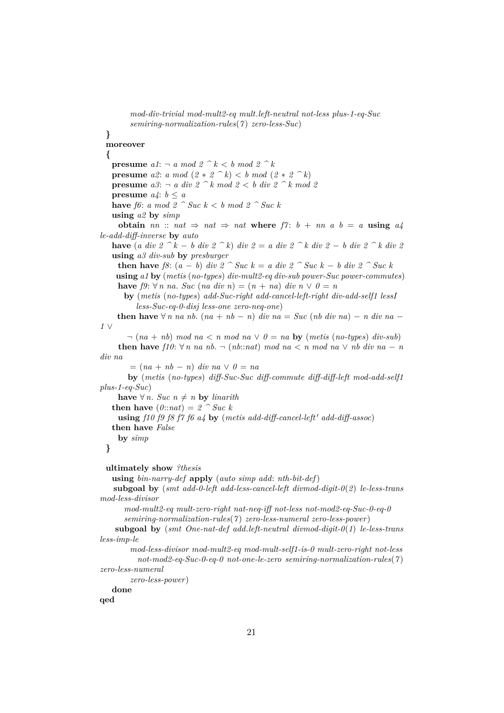```
mod-div-trivial mod-mult2-eq mult.left-neutral not-less plus-1-eq-Suc
        semiring-normalization-rules(7 ) zero-less-Suc)
 }
 moreover
 {
   presume a1: \neg a \mod 2 \hat{k} \leq b \mod 2 \hat{k}presume a2: a mod (2 * 2^k) < b \mod (2 * 2^k)presume a3: -a div 2 \leq k mod 2 \leq k div 2 \leq k mod 2
   presume a_4: b \leq ahave f6: a mod 2 ^ Suc k < b mod 2 ^ Suc k
   using a2 by simp
     obtain nn :: nat \Rightarrow nat \Rightarrow nat where f7 : b + nn a b = a using a4le-add-diff-inverse by auto
   have (a div 2 ^ k − b div 2 ^ k) div 2 = a div 2 ^ k div 2 − b div 2 ^ k div 2
   using a3 div-sub by presburger
     then have f8: (a - b) div 2 ^ Suc k = a div 2 ^ Suc k − b div 2 ^ Suc k
    using a1 by (metis (no-types) div-mult2-eq div-sub power-Suc power-commutes)
    have f9: \forall n \text{ na.} Suc (na \text{ div } n) = (n + na) \text{ div } n \lor 0 = nby (metis (no-types) add-Suc-right add-cancel-left-right div-add-self1 lessI
          less-Suc-eq-0-disj less-one zero-neq-one)
    then have \forall n na nb. (na + nb − n) div na = Suc (nb div na) − n div na −
1 ∨
       \neg (na + nb) mod na \lt n mod na \vee \theta = na by (metis (no-types) div-sub)
     then have f10: \forall n \text{ na } nb. \neg (nb::nat) \mod na < n \mod na \lor nb \ div na - ndiv na
        = (na + nb - n) div na \vee 0 = naby (metis (no-types) diff-Suc-Suc diff-commute diff-diff-left mod-add-self1
plus-1-eq-Suc)
    have ∀ n. Suc n ≠ n by linarith
   then have (0::nat) = 2 ^ Suc k
     using f10 f9 f8 f7 f6 a4 by (metis add-diff-cancel-left' add-diff-assoc)
   then have False
     by simp
 }
 ultimately show ?thesis
   using bin-narry-def apply (auto simp add: nth-bit-def)
   subgoal by (smt add-0-left add-less-cancel-left divmod-digit-0(2) le-less-trans
mod-less-divisor
      mod-mult2-eq mult-zero-right nat-neq-iff not-less not-mod2-eq-Suc-0-eq-0
      semiring-normalization-rules(7 ) zero-less-numeral zero-less-power)
    subgoal by (smt One-nat-def add.left-neutral divmod-digit-0(1) le-less-trans
less-imp-le
        mod-less-divisor mod-mult2-eq mod-mult-self1-is-0 mult-zero-right not-less
          not-mod2-eq-Suc-0-eq-0 not-one-le-zero semiring-normalization-rules(7 )
zero-less-numeral
        zero-less-power)
   done
```
**qed**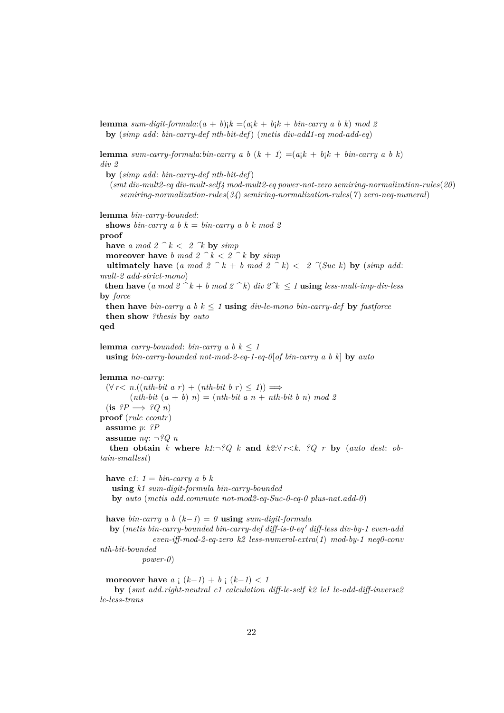**lemma** *sum-digit-formula*: $(a + b)$ <sub>i</sub> $k = (a$ <sub>i</sub> $k + b$ <sub>i</sub> $k + b$ *in-carry a b k*) *mod* 2 **by** (*simp add*: *bin-carry-def nth-bit-def*) (*metis div-add1-eq mod-add-eq*)

**lemma** *sum-carry-formula:bin-carry a b*  $(k + 1) = (a_1k + b_1k + b_1b_1 - c_2b_1k + b_2b_1)$ *div 2*

**by** (*simp add*: *bin-carry-def nth-bit-def*) (*smt div-mult2-eq div-mult-self4 mod-mult2-eq power-not-zero semiring-normalization-rules*(*20*) *semiring-normalization-rules*(*34*) *semiring-normalization-rules*(*7* ) *zero-neq-numeral*)

**lemma** *bin-carry-bounded*:

**shows** *bin-carry* a *b*  $k = bin-carry a$  *b*  $k \mod 2$ **proof**− **have** *a* mod  $2 \hat{k} < 2 \hat{k}$  **by**  $\text{simp}$ **moreover have** *b mod*  $2 \hat{ }^{\frown} k < 2 \hat{ }^{\frown} k$  **by**  $simp$ **ultimately have** (*a mod 2*  $\hat{A}$  k + *b mod 2*  $\hat{B}$  k) < 2  $\hat{C}$  *Suc k*) **by** (*simp add: mult-2 add-strict-mono*) **then have** (*a mod*  $2 \hat{ }^k + b \mod 2 \hat{ }^k$ ) *div*  $2 \hat{ }^k \leq 1$  **using** *less-mult-imp-div-less* **by** *force* **then have** *bin-carry* a *b*  $k \leq 1$  **using** *div-le-mono bin-carry-def* by *fastforce* **then show** *?thesis* **by** *auto* **qed**

**lemma** *carry-bounded*: *bin-carry a b*  $k \leq 1$ **using** *bin-carry-bounded not-mod-2-eq-1-eq-0*[*of bin-carry a b k*] **by** *auto*

**lemma** *no-carry*:  $(\forall r < n.((nth-bit a r) + (nth-bit b r) < 1)) \implies$  $(nth-bit (a + b) n) = (nth-bit a n + nth-bit b n) mod 2$  $(i\mathbf{s} \ \mathbf{?}P \Longrightarrow \mathbf{?}Q \ n)$ **proof** (*rule ccontr*) **assume** *p*: *?P* **assume** *nq*: ¬*?Q n* **then obtain** *k* where  $k1:\neg ?Q$  *k* and  $k2:\forall r < k$ . *?Q r* by (*auto dest: obtain-smallest*)

**have**  $c1: 1 = bin-carry a b k$ **using** *k1 sum-digit-formula bin-carry-bounded* **by** *auto* (*metis add*.*commute not-mod2-eq-Suc-0-eq-0 plus-nat*.*add-0*)

**have** *bin-carry a b* ( $k−1$ ) = 0 **using** *sum-digit-formula* 

**by** (*metis bin-carry-bounded bin-carry-def diff-is-0-eq' diff-less div-by-1 even-add even-iff-mod-2-eq-zero k2 less-numeral-extra*(*1*) *mod-by-1 neq0-conv nth-bit-bounded power-0*)

**moreover have**  $a_i$   $(k-1) + b_i$   $(k-1) < 1$ **by** (*smt add*.*right-neutral c1 calculation diff-le-self k2 leI le-add-diff-inverse2 le-less-trans*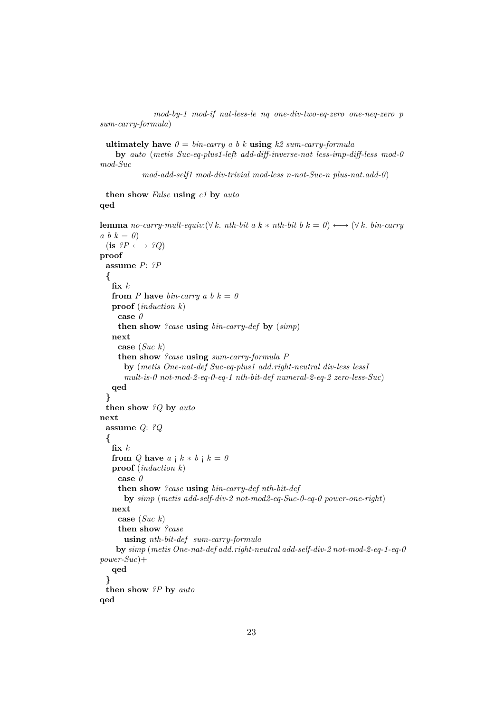*mod-by-1 mod-if nat-less-le nq one-div-two-eq-zero one-neq-zero p sum-carry-formula*)

**ultimately have**  $\theta = bin-carry \ a \ b \ k \ using \ k2 \ sum-carry-formula$ 

**by** *auto* (*metis Suc-eq-plus1-left add-diff-inverse-nat less-imp-diff-less mod-0 mod-Suc*

*mod-add-self1 mod-div-trivial mod-less n-not-Suc-n plus-nat*.*add-0*)

## **then show** *False* **using** *c1* **by** *auto* **qed**

```
lemma no-carry-mult-equiv:(\forall k. \text{ nth-bit } a \text{ } k * \text{ nth-bit } b \text{ } k = 0) \longleftrightarrow (\forall k. \text{ bin-carry}a \, b \, k = 0(i\mathbf{s} \ \ ?P \longleftrightarrow \ ?Q)proof
 assume P: ?P
  {
   fix k
   from P have bin-carry a b k = 0proof (induction k)
     case 0
     then show ?case using bin-carry-def by (simp)
   next
     case (Suc k)
     then show ?case using sum-carry-formula P
       by (metis One-nat-def Suc-eq-plus1 add.right-neutral div-less lessI
       mult-is-0 not-mod-2-eq-0-eq-1 nth-bit-def numeral-2-eq-2 zero-less-Suc)
   qed
  }
 then show ?Q by auto
next
 assume Q: ?Q
  {
   fix k
   from Q have a \, \mathsf{i} \, k * b \, \mathsf{i} \, k = 0proof (induction k)
     case 0
     then show ?case using bin-carry-def nth-bit-def
       by simp (metis add-self-div-2 not-mod2-eq-Suc-0-eq-0 power-one-right)
   next
     case (Suc k)
     then show ?case
       using nth-bit-def sum-carry-formula
    by simp (metis One-nat-def add.right-neutral add-self-div-2 not-mod-2-eq-1-eq-0
power-Suc)+
   qed
  }
 then show ?P by auto
qed
```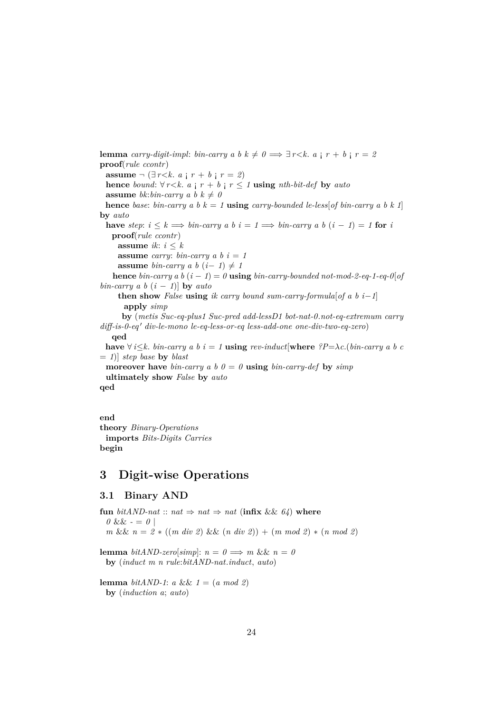**lemma** *carry-digit-impl: bin-carry a b k*  $\neq 0 \implies \exists r \leq k$ *. a*  $r + b$  **i**  $r = 2$ **proof**(*rule ccontr*) **assume**  $\neg$  (∃*r*<*k*. *a* ; *r* + *b* ; *r* = *2*) **hence** *bound*:  $\forall r \leq k$ . *a*  $\mid r + b \mid r \leq 1$  **using** *nth-bit-def* **by** *auto* **assume** *bk*:*bin-carry a b*  $k \neq 0$ **hence** *base*: *bin-carry a b*  $k = 1$  **using** *carry-bounded le-less*[*of bin-carry a b*  $k 1$ ] **by** *auto* **have** *step*:  $i \leq k \implies bin \text{-}carry \ a \ b \ i = 1 \implies bin \text{-}carry \ a \ b \ (i - 1) = 1$  for *i* **proof**(*rule ccontr*) **assume** *ik*:  $i \leq k$ **assume** *carry*: *bin-carry a b*  $i = 1$ **assume** *bin-carry a b*  $(i-1) \neq 1$ **hence** *bin-carry*  $ab$  ( $i - 1$ ) =  $0$  **using** *bin-carry-bounded not-mod-2-eq-1-eq-0*[*of bin-carry a b*  $(i - 1)$ ] **by** *auto* **then show** *False* **using** *ik carry bound sum-carry-formula*[*of a b i*−1] **apply** *simp* **by** (*metis Suc-eq-plus1 Suc-pred add-lessD1 bot-nat-0*.*not-eq-extremum carry diff-is-0-eq* <sup>0</sup> *div-le-mono le-eq-less-or-eq less-add-one one-div-two-eq-zero*) **qed have**  $\forall i \leq k$ . *bin-carry* a *b*  $i = 1$  **using** *rev-induct*[where  $?P = \lambda c$ .(*bin-carry* a *b c*) = *1*)] *step base* **by** *blast* **moreover have** *bin-carry a b*  $\theta = \theta$  **using** *bin-carry-def* by *simp* **ultimately show** *False* **by** *auto* **qed**

**end theory** *Binary-Operations* **imports** *Bits-Digits Carries* **begin**

# <span id="page-23-0"></span>**3 Digit-wise Operations**

# <span id="page-23-1"></span>**3.1 Binary AND**

**fun** *bitAND-nat* :: *nat*  $\Rightarrow$  *nat*  $\Rightarrow$  *nat* (**infix** && 64) **where**  $0 \&\& -\frac{1}{2}$ *m* && *n* = *2* ∗ ((*m div 2*) && (*n div 2*)) + (*m mod 2*) ∗ (*n mod 2*) **lemma** *bitAND-zero*[*simp*]:  $n = 0 \implies m \&\&\ n = 0$ **by** (*induct m n rule*:*bitAND-nat*.*induct*, *auto*)

**lemma** *bitAND-1*: *a* && *1* = (*a mod 2*) **by** (*induction a*; *auto*)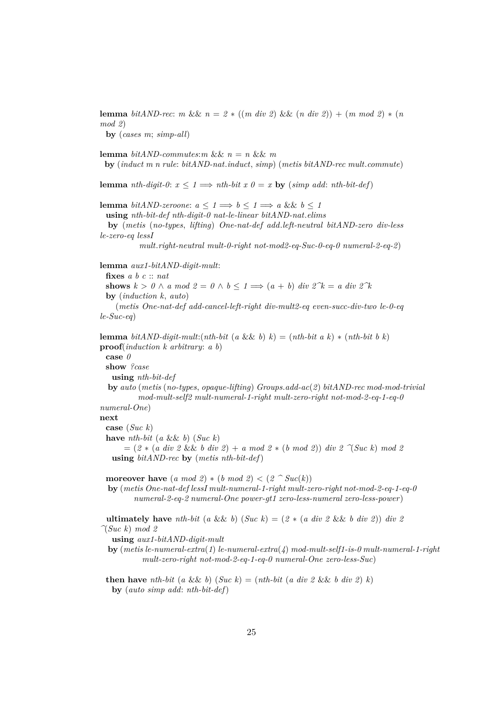**lemma**  $bitAND-rec: m \&\& n = 2 * ((m \ div 2) \&\& (n \ div 2)) + (m \ mod 2) * (n$ *mod 2*) **by** (*cases m*; *simp-all*) **lemma** *bitAND-commutes:m* &&  $n = n$  &&  $m$ **by** (*induct m n rule*: *bitAND-nat*.*induct*, *simp*) (*metis bitAND-rec mult*.*commute*) **lemma** *nth-digit-0*:  $x \leq 1 \implies nth\text{-}bit \ x \ 0 = x \text{ by } (\text{simp add: } nth\text{-}bit\text{-}def)$ **lemma** *bitAND-zeroone*:  $a \leq 1 \implies b \leq 1 \implies a \& b \leq 1$ **using** *nth-bit-def nth-digit-0 nat-le-linear bitAND-nat*.*elims* **by** (*metis* (*no-types*, *lifting*) *One-nat-def add*.*left-neutral bitAND-zero div-less le-zero-eq lessI mult*.*right-neutral mult-0-right not-mod2-eq-Suc-0-eq-0 numeral-2-eq-2*) **lemma** *aux1-bitAND-digit-mult*: **fixes** *a b c* :: *nat* **shows**  $k > 0 \land a \mod 2 = 0 \land b \leq 1 \Longrightarrow (a + b) \text{ div } 2^k = a \text{ div } 2^k$ **by** (*induction k*, *auto*) (*metis One-nat-def add-cancel-left-right div-mult2-eq even-succ-div-two le-0-eq le-Suc-eq*) **lemma** *bitAND-digit-mult:*( $nth\text{-}bit$  ( $a$  &&  $b$ )  $k$ ) = ( $nth\text{-}bit$   $a$   $k$ )  $*$  ( $nth\text{-}bit$   $b$   $k$ ) **proof**(*induction k arbitrary*: *a b*) **case** *0* **show** *?case* **using** *nth-bit-def* **by** *auto* (*metis* (*no-types*, *opaque-lifting*) *Groups*.*add-ac*(*2*) *bitAND-rec mod-mod-trivial mod-mult-self2 mult-numeral-1-right mult-zero-right not-mod-2-eq-1-eq-0 numeral-One*) **next case** (*Suc k*) **have** *nth-bit* (*a* && *b*) (*Suc k*)  $= (2 * (a \ div 2 \ & b \ div 2) + a \ mod 2 * (b \ mod 2)) \ div 2 \ \gamma (Suc \ k) \ mod 2$ **using** *bitAND-rec* **by** (*metis nth-bit-def*) **moreover have**  $(a \mod 2) * (b \mod 2) < (2 \cap \text{Suc}(k))$ **by** (*metis One-nat-def lessI mult-numeral-1-right mult-zero-right not-mod-2-eq-1-eq-0 numeral-2-eq-2 numeral-One power-gt1 zero-less-numeral zero-less-power*) **ultimately have**  $nth\text{-}bit$  (*a* && *b*) (*Suc k*) = (*2* \* (*a div 2* && *b div 2*)) *div 2 ^*(*Suc k*) *mod 2* **using** *aux1-bitAND-digit-mult* **by** (*metis le-numeral-extra*(*1*) *le-numeral-extra*(*4*) *mod-mult-self1-is-0 mult-numeral-1-right mult-zero-right not-mod-2-eq-1-eq-0 numeral-One zero-less-Suc*)

**then have** *nth-bit* (*a* && *b*) (*Suc k*) = (*nth-bit* (*a div 2* && *b div 2*) *k*) **by** (*auto simp add*: *nth-bit-def*)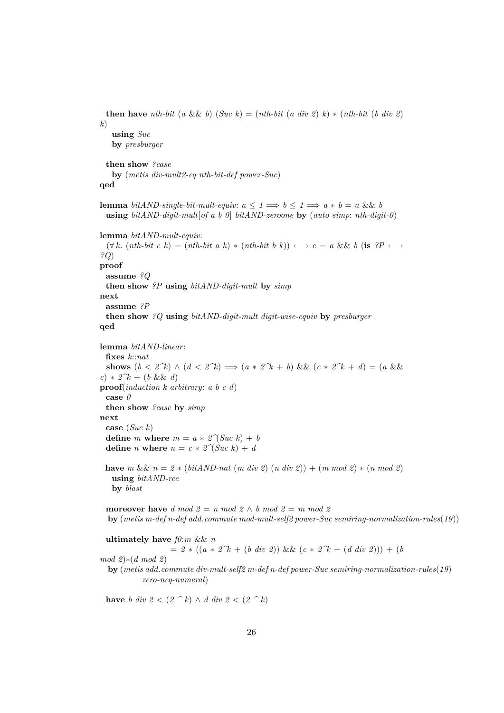```
then have nth-bit (a && b) (Suc k) = (nth-bit (a div 2) k) * (nth-bit (b div 2)
k)
   using Suc
   by presburger
 then show ?case
   by (metis div-mult2-eq nth-bit-def power-Suc)
qed
lemma bitAND-single-bit-mult-equiv: a \leq 1 \implies b \leq 1 \implies a * b = a \&\& busing bitAND-digit-mult[of a b 0] bitAND-zeroone by (auto simp: nth-digit-0)
lemma bitAND-mult-equiv:
 (\forall k. (nth-bit \ c \ k) = (nth-bit \ a \ k) * (nth-bit \ b \ k)) \longleftrightarrow c = a \ \&\& \ b \ (is \ \ ?P \longleftrightarrow?Q)
proof
 assume ?Q
 then show ?P using bitAND-digit-mult by simp
next
 assume ?P
 then show ?Q using bitAND-digit-mult digit-wise-equiv by presburger
qed
lemma bitAND-linear:
 fixes k::nat
 shows (b < 2^k) \land (d < 2^k) \implies (a * 2^k + b) \&amp; (c * 2^k + d) = (a \&amp; 2^k)c) * 2^k + (b \&\& d)proof(induction k arbitrary: a b c d)
 case 0
 then show ?case by simp
next
 case (Suc k)
 define m where m = a * 2^{\gamma}(Suc \ k) + bdefine n where n = c * 2^{\gamma} (Suc k) + dhave m \&\& n = 2 * (bitAND-nat \ (m \ div \ 2) \ (n \ div \ 2)) + (m \ mod \ 2) * (n \ mod \ 2)using bitAND-rec
   by blast
 moreover have d mod\ 2 = n \mod 2 \wedge b \mod 2 = m \mod 2by (metis m-def n-def add.commute mod-mult-self2 power-Suc semiring-normalization-rules(19))
```
**ultimately have** *f0*:*m* && *n*  $= 2 * ((a * 2^k + (b \ div 2)) \&c (c * 2^k + (d \ div 2))) + (b$ *mod 2*)∗(*d mod 2*) **by** (*metis add*.*commute div-mult-self2 m-def n-def power-Suc semiring-normalization-rules*(*19*) *zero-neq-numeral*)

**have** *b div 2* <  $(2 \tbinom{2}{k} \wedge d \text{ div } 2 < (2 \tbinom{2}{k})$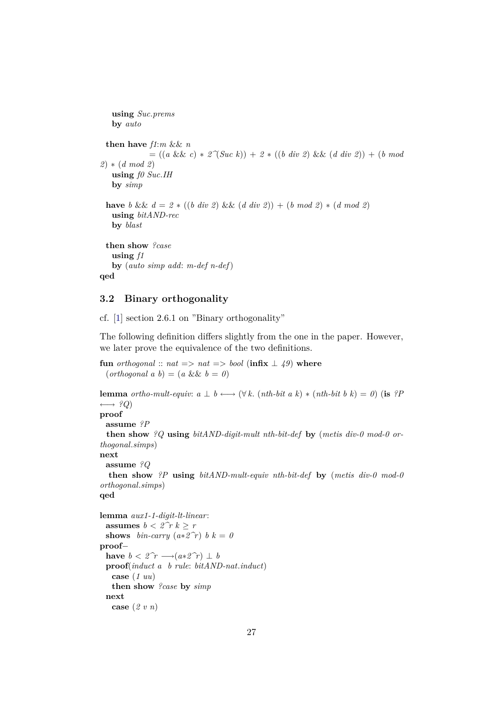**using** *Suc*.*prems* **by** *auto* **then have** *f1*:*m* && *n* = ((*a* && *c*) ∗ *2^*(*Suc k*)) + *2* ∗ ((*b div 2*) && (*d div 2*)) + (*b mod 2*) ∗ (*d mod 2*) **using** *f0 Suc*.*IH* **by** *simp* **have** *b* &&  $d = 2 * ((b \ div 2) \&( d \ div 2) ) + (b \ mod 2) * (d \ mod 2)$ **using** *bitAND-rec* **by** *blast* **then show** *?case* **using** *f1* **by** (*auto simp add*: *m-def n-def*) **qed**

# <span id="page-26-0"></span>**3.2 Binary orthogonality**

cf. [\[1\]](#page-32-0) section 2.6.1 on "Binary orthogonality"

The following definition differs slightly from the one in the paper. However, we later prove the equivalence of the two definitions.

**fun** *orthogonal* ::  $nat \implies nat \implies bool$  (infix  $\perp$  49) where  $(orthogonal a b) = (a \&\& b = 0)$ 

```
lemma ortho-mult-equiv: a \perp b \longleftrightarrow (\forall k. (nth-bit \ a \ k) * (nth-bit \ b \ k) = 0) (is ?P
\longleftrightarrow ?Q)
proof
 assume ?P
 then show ?Q using bitAND-digit-mult nth-bit-def by (metis div-0 mod-0 or-
thogonal.simps)
next
 assume ?Q
  then show ?P using bitAND-mult-equiv nth-bit-def by (metis div-0 mod-0
orthogonal.simps)
qed
```

```
lemma aux1-1-digit-lt-linear:
 assumes b < 2\hat{r} k > rshows bin-carry (a * 2^r c) b k = 0proof−
 have b < 2\hat{r} → (a * 2\hat{r}) \perp bproof(induct a b rule: bitAND-nat.induct)
   case (1 uu)
   then show ?case by simp
 next
   case (2 v n)
```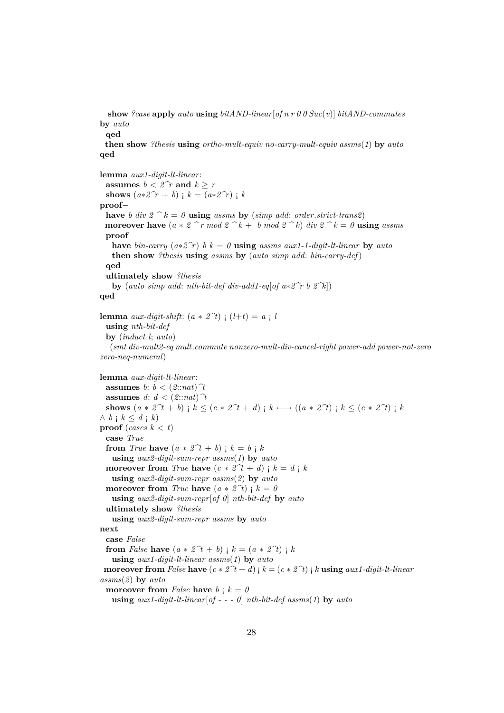**show** *?case* **apply** *auto* **using** *bitAND-linear*[*of n r 0 0 Suc*(*v*)] *bitAND-commutes* **by** *auto*

**qed**

**then show** *?thesis* **using** *ortho-mult-equiv no-carry-mult-equiv assms*(*1*) **by** *auto* **qed**

**lemma** *aux1-digit-lt-linear*: **assumes**  $b < 2\hat{r}$  **and**  $k > r$ **shows**  $(a * 2^r r + b)$  **;**  $k = (a * 2^r r)$  **;**  $k$ **proof**− **have** *b* div  $2 \hat{ }^n k = 0$  **using** *assms* **by** (*simp add: order.strict-trans2*) **moreover have**  $(a * 2 \hat{ } r \mod 2 \hat{ } k + b \mod 2 \hat{ } k)$  *div*  $2 \hat{ } k = 0$  **using** *assms* **proof**− **have** *bin-carry*  $(a * 2^r)$  *b*  $k = 0$  **using** *assms aux1-1-digit-lt-linear* **by** *auto* **then show** *?thesis* **using** *assms* **by** (*auto simp add*: *bin-carry-def*) **qed ultimately show** *?thesis* **by** (*auto simp add: nth-bit-def div-add1-eq*[*of a* $*2\hat{r}$  *b*  $2\hat{k}$ ]) **qed lemma** *aux-digit-shift*:  $(a * 2^t)$   $(1+t) = a \cdot l$ **using** *nth-bit-def* **by** (*induct l*; *auto*) (*smt div-mult2-eq mult*.*commute nonzero-mult-div-cancel-right power-add power-not-zero zero-neq-numeral*) **lemma** *aux-digit-lt-linear*:

**assumes**  $b: b < (2::nat)$   $\hat{\tau}$ **assumes**  $d: d < (2:nat)$ <sup> $\uparrow$ </sup> **shows**  $(a * 2^t + b)$  ;  $k \leq (c * 2^t + d)$  ;  $k \leftarrow ((a * 2^t)$  ;  $k \leq (c * 2^t)$  ;  $k$  $\wedge b$  **j**  $k \leq d$  **j**  $k$ ) **proof** (*cases*  $k < t$ ) **case** *True* **from** *True* **have**  $(a * 2^t + b)$  **i**  $k = b$  **i**  $k$ **using** *aux2-digit-sum-repr assms*(*1*) **by** *auto* **moreover from** *True* **have**  $(c * 2^t + d)$  **;**  $k = d$  **;**  $k$ **using** *aux2-digit-sum-repr assms*(*2*) **by** *auto* **moreover from** *True* **have**  $(a * 2^t)$  **;**  $k = 0$ **using** *aux2-digit-sum-repr*[*of 0*] *nth-bit-def* **by** *auto* **ultimately show** *?thesis* **using** *aux2-digit-sum-repr assms* **by** *auto* **next case** *False* **from** *False* **have**  $(a * 2^t + b)$  **;**  $k = (a * 2^t)$  **;**  $k$ **using** *aux1-digit-lt-linear assms*(*1*) **by** *auto* **moreover from** *False* **have**  $(c * 2^t + d)$  **j**  $k = (c * 2^t)$  **j**  $k$  **using**  $aux1-digit-lt-linear$ *assms*(*2*) **by** *auto* **moreover from** *False* **have**  $b : k = 0$ **using** *aux1-digit-lt-linear*[*of - - - 0*] *nth-bit-def assms*(*1*) **by** *auto*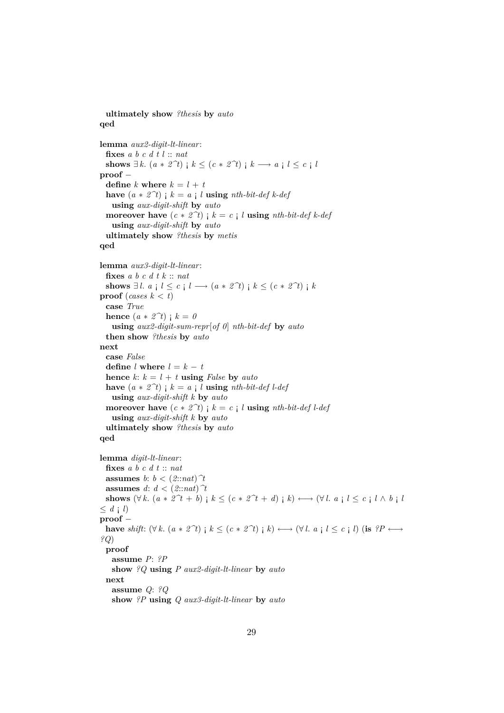```
ultimately show ?thesis by auto
qed
lemma aux2-digit-lt-linear:
 fixes a b c d t l :: nat
 shows ∃ k. (a * 2^t) ; k ≤ (c * 2^t) ; k → a ; l ≤ c ; l
proof −
 define k where k = l + thave (a * 2^t) ; k = a ; l using nth-bit-def k-def
   using aux-digit-shift by auto
 moreover have (c * 2^t) ; k = c ; l using nth-bit-def k-def
   using aux-digit-shift by auto
 ultimately show ?thesis by metis
qed
lemma aux3-digit-lt-linear:
 fixes a b c d t k :: nat
 shows ∃l. a i l \leq c i l \rightarrow (a * 2^{\textit{?}}t) i k \leq (c * 2^{\textit{?}}t) i kproof (cases k < t)
 case True
 hence (a * 2^t) ; k = 0using aux2-digit-sum-repr[of 0] nth-bit-def by auto
  then show ?thesis by auto
next
 case False
 define l where l = k - thence k: k = l + t using False by auto
 have (a * 2^t) ; k = a ; l using nth-bit-def l-def
   using aux-digit-shift k by auto
 moreover have (c * 2^t) ; k = c ; l using nth-bit-def l-def
   using aux-digit-shift k by auto
 ultimately show ?thesis by auto
qed
lemma digit-lt-linear:
 fixes a b c d t :: nat
 assumes b: b < (2::nat)^{T}assumes d: d < (2:nat)<sup>\hat{\tau}</sup>
 shows (\forall k. (a * 2^t + b) \mid k \leq (c * 2^t + d) \mid k) \longleftrightarrow (\forall l. a \mid l \leq c \mid l \wedge b \mid l)\leq d \neq lproof −
 have shift: (\forall k. (a * 2^t) \in k \leq (c * 2^t) \in k) \rightarrow (\forall l. a \in l \leq c \in l) (is ?P \rightarrow?Q)
 proof
   assume P: ?P
   show ?Q using P aux2-digit-lt-linear by auto
 next
   assume Q: ?Q
   show ?P using Q aux3-digit-lt-linear by auto
```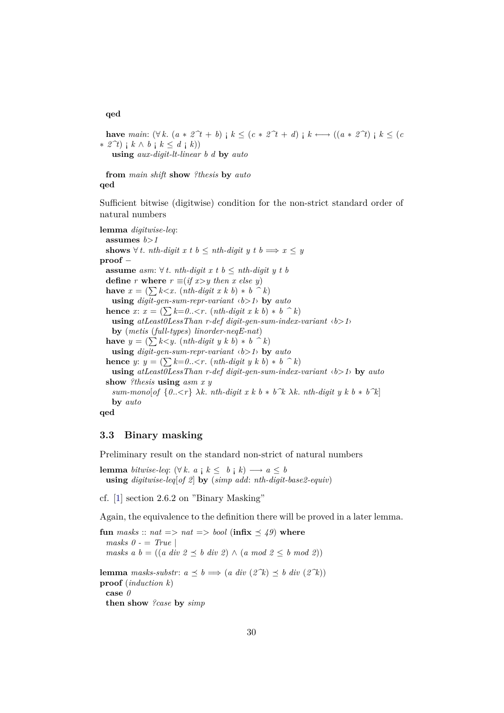#### **qed**

**have** main:  $(\forall k. (a * 2^t + b) \ni k \leq (c * 2^t + d) \ni k \longleftrightarrow ((a * 2^t) \ni k \leq (c$  $\ast$  2<sup>*∂t*</sup>) ; *k* ∧ *b* ; *k* < *d* ; *k*))

**using** *aux-digit-lt-linear b d* **by** *auto*

**from** *main shift* **show** *?thesis* **by** *auto* **qed**

Sufficient bitwise (digitwise) condition for the non-strict standard order of natural numbers

**lemma** *digitwise-leq*: **assumes** *b*>*1* **shows**  $\forall$  *t*. *nth-digit x t b* < *nth-digit y t b*  $\implies$  *x* < *y* **proof** − **assume** *asm*:  $\forall t$ *. nth-digit x t b* < *nth-digit y t b* **define** *r* **where**  $r \equiv (if x > y \ then \ x \ else \ y)$ **have**  $x = (\sum k < x. (nth-digit x k b) * b \land k)$ **using** *digit-gen-sum-repr-variant* ‹*b*>*1*› **by** *auto* **hence** *x*:  $x = (\sum k=0... (*nth-digit x k b*) * *b*  $\hat{b}$  *k*)$ **using** *atLeast0LessThan r-def digit-gen-sum-index-variant* ‹*b*>*1*› **by** (*metis* (*full-types*) *linorder-neqE-nat*) **have**  $y = (\sum k \lt y \cdot (nth\t{-}digit y \cdot k b) * b \cdot k)$ **using** *digit-gen-sum-repr-variant* ‹*b*>*1*› **by** *auto* **hence** *y*:  $y = (\sum k=0... (*nth-digit y k b*) * *b*  $\hat{b}$  *k*)$ **using** *atLeast0LessThan r-def digit-gen-sum-index-variant* ‹*b*>*1*› **by** *auto* **show** *?thesis* **using** *asm x y sum-mono*[*of*  $\{0..\langle r\}$  λ*k*. *nth-digit x k b*  $*$  *b*<sup> $\hat{k}$ </sup> λ*k*. *nth-digit y k b*  $*$  *b*<sup> $\hat{k}$ ]</sup> **by** *auto* **qed**

# <span id="page-29-0"></span>**3.3 Binary masking**

Preliminary result on the standard non-strict of natural numbers

**lemma** *bitwise-leq*:  $(\forall k. a \mid k \leq b \mid k) \longrightarrow a \leq b$ **using** *digitwise-leq*[*of 2*] **by** (*simp add*: *nth-digit-base2-equiv*)

cf. [\[1\]](#page-32-0) section 2.6.2 on "Binary Masking"

Again, the equivalence to the definition there will be proved in a later lemma.

**fun** masks :: nat => nat => bool (infix  $\leq 49$ ) where *masks 0 -* = *True* | *masks a b* =  $((a \ div 2 \preceq b \ div 2) \wedge (a \ mod 2 \preceq b \ mod 2))$ **lemma** *masks-substr*:  $a \preceq b \implies (a \ div (2^k) \preceq b \ div (2^k))$ **proof** (*induction k*) **case** *0* **then show** *?case* **by** *simp*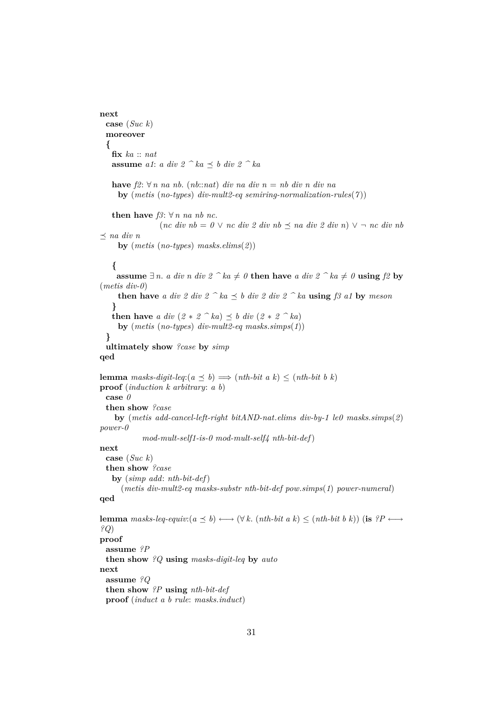```
next
 case (Suc k)
 moreover
  {
   fix ka :: nat
   assume a1: a div 2 \hat{ }^{\frown} ka \preceq b div 2 \hat{ }^{\frown} kahave f2: \forall n \text{ na } nb. (nb::nat) \text{ div } na \text{ div } n = nb \text{ div } n \text{ div } naby (metis (no-types) div-mult2-eq semiring-normalization-rules(7 ))
   then have f3: \forall n na nb nc.
                  (nc \ div nb = 0 \lor nc \ div 2 \ div nb \preceq na \ div 2 \ div n) \lor \neg nc \ div nb\prec na div n
     by (metis (no-types) masks.elims(2))
    {
     assume ∃n. a div n div 2 ^{\frown} ka ≠ 0 then have a div 2 ^{\frown} ka ≠ 0 using f2 by
(metis div-0)
     then have a div 2 div 2 \wedge ka \leq b div 2 div 2 \wedge ka using f3 a1 by meson
    }
   then have a div (2 * 2^k a) \leq b div (2 * 2^k a)by (metis (no-types) div-mult2-eq masks.simps(1))
  }
 ultimately show ?case by simp
qed
lemma masks-digit-leq:(a \prec b) \Longrightarrow (nth\text{-}bit \ a \ k) \leq (nth\text{-}bit \ b \ k)proof (induction k arbitrary: a b)
 case 0
 then show ?case
    by (metis add-cancel-left-right bitAND-nat.elims div-by-1 le0 masks.simps(2)
power-0
             mod-mult-self1-is-0 mod-mult-self4 nth-bit-def)
next
 case (Suc k)
 then show ?case
   by (simp add: nth-bit-def)
      (metis div-mult2-eq masks-substr nth-bit-def pow.simps(1) power-numeral)
qed
lemma masks-leq-equiv:(a \leq b) \longleftrightarrow (\forall k. (nth-bit a k) \leq (nth-bit b k)) (is ?P \longleftrightarrow?Q)
proof
 assume ?P
 then show ?Q using masks-digit-leq by auto
next
 assume ?Q
 then show ?P using nth-bit-def
```
**proof** (*induct a b rule*: *masks*.*induct*)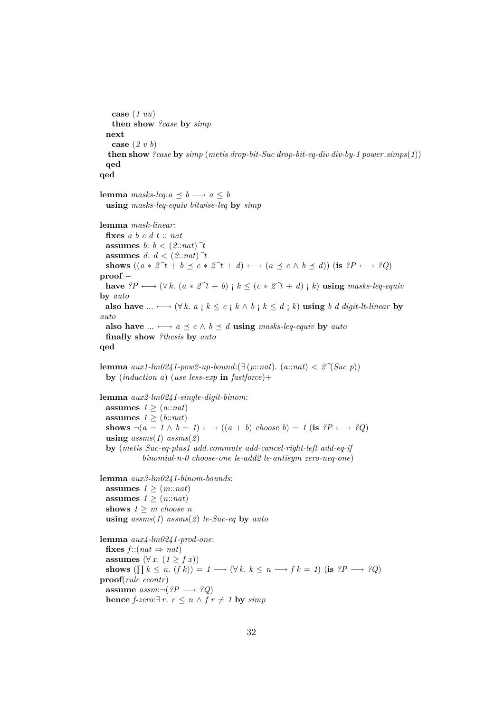```
case (1 uu)
   then show ?case by simp
  next
   case (2 v b)
  then show ?case by simp (metis drop-bit-Suc drop-bit-eq-div div-by-1 power.simps(1))
  qed
qed
lemma masks-leq:a \prec b \rightarrow a \prec busing masks-leq-equiv bitwise-leq by simp
lemma mask-linear:
  fixes a b c d t :: nat
 assumes b: b < (2::nat) \hat{\tau}assumes d: d < (2::nat) \hat{\tau}shows ((a * 2^t + b \prec c * 2^t + d) \longleftrightarrow (a \prec c \land b \prec d)) (is ?P \longleftrightarrow ?Q)
proof −
 have ?P \longleftrightarrow (\forall k. (a * 2^t + b) \mid k \leq (c * 2^t + d) \mid k) using masks-leq-equiv
by auto
 also have ... ←→ (∀ k. a ; k \leq c ; k \wedge b ; k \leq d ; k) using b d digit-lt-linear by
auto
  also have ... \longleftrightarrow a \preceq c \land b \preceq d using masks-leq-equiv by auto
  finally show ?thesis by auto
qed
lemma aux1-lm0241-pow2-up-bound:(∃ (p::nat). (a::nat) < 2^{\gamma}Suc p))
  by (induction a) (use less-exp in fastforce)+
lemma aux2-lm0241-single-digit-binom:
  assumes 1 \geq (a : n \notinfty)assumes 1 \geq (b::nat)
  shows \neg(a = 1 \land b = 1) \longleftrightarrow ((a + b) \text{ choose } b) = 1 \text{ (is } ?P \longleftrightarrow ?Q)using assms(1) assms(2)by (metis Suc-eq-plus1 add.commute add-cancel-right-left add-eq-if
             binomial-n-0 choose-one le-add2 le-antisym zero-neq-one)
lemma aux3-lm0241-binom-bounds:
  assumes 1 \geq (m::nat)assumes 1 \geq (n::nat)shows 1 \geq m choose n
  using assms(1) assms(2) le-Suc-eq by auto
lemma aux4-lm0241-prod-one:
  fixes f :: (nat \Rightarrow nat)
  assumes (\forall x. (1 \geq f x))shows (\prod k \leq n \cdot (f k)) = 1 \longrightarrow (\forall k \cdot k \leq n \longrightarrow f k = 1) (is ?P \longrightarrow ?Q)
proof(rule ccontr)
  assume assm: \neg (?P \rightarrow ?Q)hence f-zero:∃ r. r ≤ n \land f r \neq 1 by simp
```